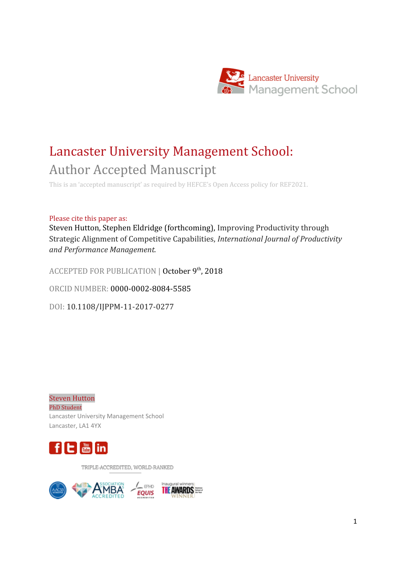

# Lancaster University Management School: Author Accepted Manuscript

This is an 'accepted manuscript' as required by HEFCE's Open Access policy for REF2021.

#### Please cite this paper as:

Steven Hutton, Stephen Eldridge (forthcoming), Improving Productivity through Strategic Alignment of Competitive Capabilities, *International Journal of Productivity and Performance Management.*

ACCEPTED FOR PUBLICATION | October 9<sup>th</sup>, 2018

ORCID NUMBER: 0000-0002-8084-5585

DOI: 10.1108/IJPPM-11-2017-0277

Steven Hutton PhD Student Lancaster University Management School Lancaster, LA1 4YX



TRIPLE-ACCREDITED, WORLD-RANKED

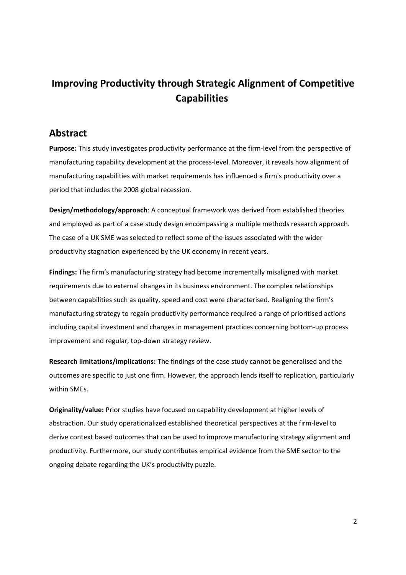## **Improving Productivity through Strategic Alignment of Competitive Capabilities**

## **Abstract**

**Purpose:** This study investigates productivity performance at the firm-level from the perspective of manufacturing capability development at the process-level. Moreover, it reveals how alignment of manufacturing capabilities with market requirements has influenced a firm's productivity over a period that includes the 2008 global recession.

**Design/methodology/approach**: A conceptual framework was derived from established theories and employed as part of a case study design encompassing a multiple methods research approach. The case of a UK SME was selected to reflect some of the issues associated with the wider productivity stagnation experienced by the UK economy in recent years.

**Findings:** The firm's manufacturing strategy had become incrementally misaligned with market requirements due to external changes in its business environment. The complex relationships between capabilities such as quality, speed and cost were characterised. Realigning the firm's manufacturing strategy to regain productivity performance required a range of prioritised actions including capital investment and changes in management practices concerning bottom-up process improvement and regular, top-down strategy review.

**Research limitations/implications:** The findings of the case study cannot be generalised and the outcomes are specific to just one firm. However, the approach lends itself to replication, particularly within SMEs.

**Originality/value:** Prior studies have focused on capability development at higher levels of abstraction. Our study operationalized established theoretical perspectives at the firm-level to derive context based outcomes that can be used to improve manufacturing strategy alignment and productivity. Furthermore, our study contributes empirical evidence from the SME sector to the ongoing debate regarding the UK's productivity puzzle.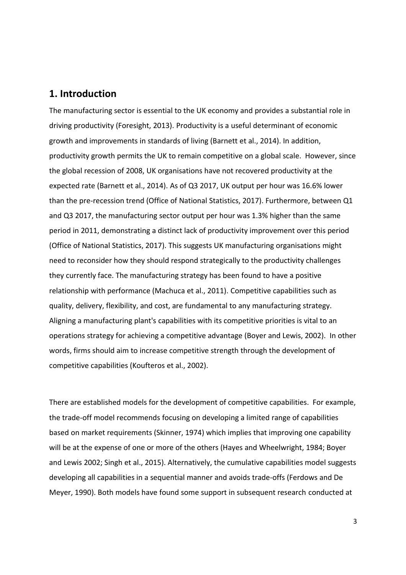## **1. Introduction**

The manufacturing sector is essential to the UK economy and provides a substantial role in driving productivity (Foresight, 2013). Productivity is a useful determinant of economic growth and improvements in standards of living (Barnett et al., 2014). In addition, productivity growth permits the UK to remain competitive on a global scale. However, since the global recession of 2008, UK organisations have not recovered productivity at the expected rate (Barnett et al., 2014). As of Q3 2017, UK output per hour was 16.6% lower than the pre-recession trend (Office of National Statistics, 2017). Furthermore, between Q1 and Q3 2017, the manufacturing sector output per hour was 1.3% higher than the same period in 2011, demonstrating a distinct lack of productivity improvement over this period (Office of National Statistics, 2017). This suggests UK manufacturing organisations might need to reconsider how they should respond strategically to the productivity challenges they currently face. The manufacturing strategy has been found to have a positive relationship with performance (Machuca et al., 2011). Competitive capabilities such as quality, delivery, flexibility, and cost, are fundamental to any manufacturing strategy. Aligning a manufacturing plant's capabilities with its competitive priorities is vital to an operations strategy for achieving a competitive advantage (Boyer and Lewis, 2002). In other words, firms should aim to increase competitive strength through the development of competitive capabilities (Koufteros et al., 2002).

There are established models for the development of competitive capabilities. For example, the trade-off model recommends focusing on developing a limited range of capabilities based on market requirements (Skinner, 1974) which implies that improving one capability will be at the expense of one or more of the others (Hayes and Wheelwright, 1984; Boyer and Lewis 2002; Singh et al., 2015). Alternatively, the cumulative capabilities model suggests developing all capabilities in a sequential manner and avoids trade-offs (Ferdows and De Meyer, 1990). Both models have found some support in subsequent research conducted at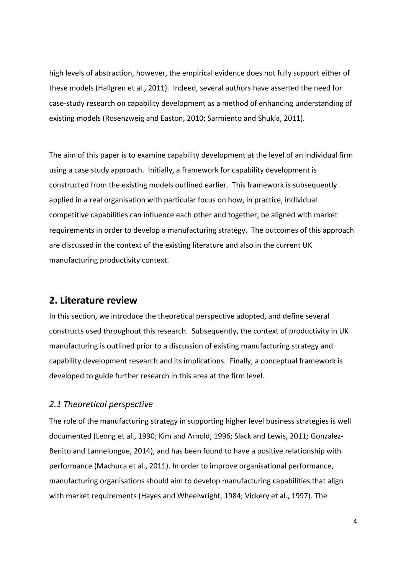high levels of abstraction, however, the empirical evidence does not fully support either of these models (Hallgren et al., 2011). Indeed, several authors have asserted the need for case-study research on capability development as a method of enhancing understanding of existing models (Rosenzweig and Easton, 2010; Sarmiento and Shukla, 2011).

The aim of this paper is to examine capability development at the level of an individual firm using a case study approach. Initially, a framework for capability development is constructed from the existing models outlined earlier. This framework is subsequently applied in a real organisation with particular focus on how, in practice, individual competitive capabilities can influence each other and together, be aligned with market requirements in order to develop a manufacturing strategy. The outcomes of this approach are discussed in the context of the existing literature and also in the current UK manufacturing productivity context.

## **2. Literature review**

In this section, we introduce the theoretical perspective adopted, and define several constructs used throughout this research. Subsequently, the context of productivity in UK manufacturing is outlined prior to a discussion of existing manufacturing strategy and capability development research and its implications. Finally, a conceptual framework is developed to guide further research in this area at the firm level.

## *2.1 Theoretical perspective*

The role of the manufacturing strategy in supporting higher level business strategies is well documented (Leong et al., 1990; Kim and Arnold, 1996; Slack and Lewis, 2011; Gonzalez-Benito and Lannelongue, 2014), and has been found to have a positive relationship with performance (Machuca et al., 2011). In order to improve organisational performance, manufacturing organisations should aim to develop manufacturing capabilities that align with market requirements (Hayes and Wheelwright, 1984; Vickery et al., 1997). The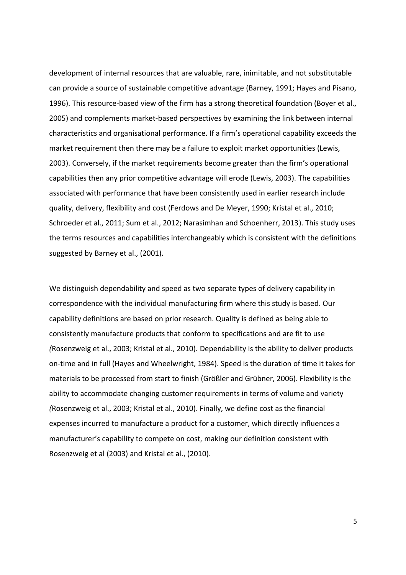development of internal resources that are valuable, rare, inimitable, and not substitutable can provide a source of sustainable competitive advantage (Barney, 1991; Hayes and Pisano, 1996). This resource-based view of the firm has a strong theoretical foundation (Boyer et al., 2005) and complements market-based perspectives by examining the link between internal characteristics and organisational performance. If a firm's operational capability exceeds the market requirement then there may be a failure to exploit market opportunities (Lewis, 2003). Conversely, if the market requirements become greater than the firm's operational capabilities then any prior competitive advantage will erode (Lewis, 2003). The capabilities associated with performance that have been consistently used in earlier research include quality, delivery, flexibility and cost (Ferdows and De Meyer, 1990; Kristal et al., 2010; Schroeder et al., 2011; Sum et al., 2012; Narasimhan and Schoenherr, 2013). This study uses the terms resources and capabilities interchangeably which is consistent with the definitions suggested by Barney et al., (2001).

We distinguish dependability and speed as two separate types of delivery capability in correspondence with the individual manufacturing firm where this study is based. Our capability definitions are based on prior research. Quality is defined as being able to consistently manufacture products that conform to specifications and are fit to use *(*Rosenzweig et al., 2003; Kristal et al., 2010)*.* Dependability is the ability to deliver products on-time and in full (Hayes and Wheelwright, 1984). Speed is the duration of time it takes for materials to be processed from start to finish (Größler and Grübner, 2006). Flexibility is the ability to accommodate changing customer requirements in terms of volume and variety *(*Rosenzweig et al., 2003; Kristal et al., 2010). Finally, we define cost as the financial expenses incurred to manufacture a product for a customer, which directly influences a manufacturer's capability to compete on cost, making our definition consistent with Rosenzweig et al (2003) and Kristal et al., (2010).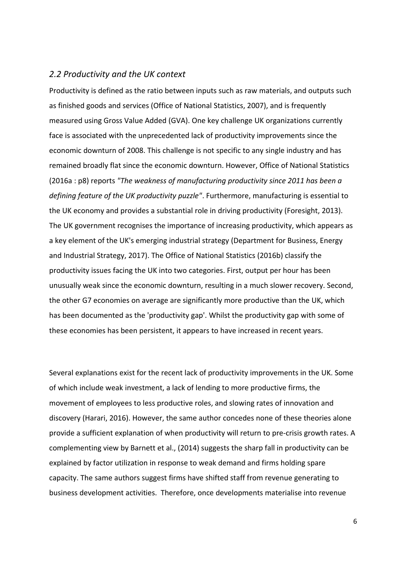#### *2.2 Productivity and the UK context*

Productivity is defined as the ratio between inputs such as raw materials, and outputs such as finished goods and services (Office of National Statistics, 2007), and is frequently measured using Gross Value Added (GVA). One key challenge UK organizations currently face is associated with the unprecedented lack of productivity improvements since the economic downturn of 2008. This challenge is not specific to any single industry and has remained broadly flat since the economic downturn. However, Office of National Statistics (2016a : p8) reports *"The weakness of manufacturing productivity since 2011 has been a defining feature of the UK productivity puzzle"*. Furthermore, manufacturing is essential to the UK economy and provides a substantial role in driving productivity (Foresight, 2013). The UK government recognises the importance of increasing productivity, which appears as a key element of the UK's emerging industrial strategy (Department for Business, Energy and Industrial Strategy, 2017). The Office of National Statistics (2016b) classify the productivity issues facing the UK into two categories. First, output per hour has been unusually weak since the economic downturn, resulting in a much slower recovery. Second, the other G7 economies on average are significantly more productive than the UK, which has been documented as the 'productivity gap'. Whilst the productivity gap with some of these economies has been persistent, it appears to have increased in recent years.

Several explanations exist for the recent lack of productivity improvements in the UK. Some of which include weak investment, a lack of lending to more productive firms, the movement of employees to less productive roles, and slowing rates of innovation and discovery (Harari, 2016). However, the same author concedes none of these theories alone provide a sufficient explanation of when productivity will return to pre-crisis growth rates. A complementing view by Barnett et al., (2014) suggests the sharp fall in productivity can be explained by factor utilization in response to weak demand and firms holding spare capacity. The same authors suggest firms have shifted staff from revenue generating to business development activities. Therefore, once developments materialise into revenue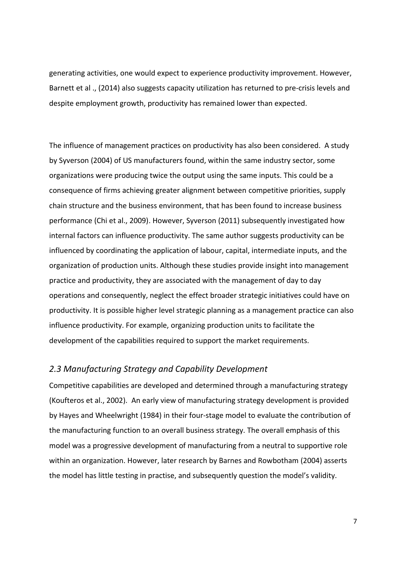generating activities, one would expect to experience productivity improvement. However, Barnett et al ., (2014) also suggests capacity utilization has returned to pre-crisis levels and despite employment growth, productivity has remained lower than expected.

The influence of management practices on productivity has also been considered. A study by Syverson (2004) of US manufacturers found, within the same industry sector, some organizations were producing twice the output using the same inputs. This could be a consequence of firms achieving greater alignment between competitive priorities, supply chain structure and the business environment, that has been found to increase business performance (Chi et al., 2009). However, Syverson (2011) subsequently investigated how internal factors can influence productivity. The same author suggests productivity can be influenced by coordinating the application of labour, capital, intermediate inputs, and the organization of production units. Although these studies provide insight into management practice and productivity, they are associated with the management of day to day operations and consequently, neglect the effect broader strategic initiatives could have on productivity. It is possible higher level strategic planning as a management practice can also influence productivity. For example, organizing production units to facilitate the development of the capabilities required to support the market requirements.

#### *2.3 Manufacturing Strategy and Capability Development*

Competitive capabilities are developed and determined through a manufacturing strategy (Koufteros et al., 2002). An early view of manufacturing strategy development is provided by Hayes and Wheelwright (1984) in their four-stage model to evaluate the contribution of the manufacturing function to an overall business strategy. The overall emphasis of this model was a progressive development of manufacturing from a neutral to supportive role within an organization. However, later research by Barnes and Rowbotham (2004) asserts the model has little testing in practise, and subsequently question the model's validity.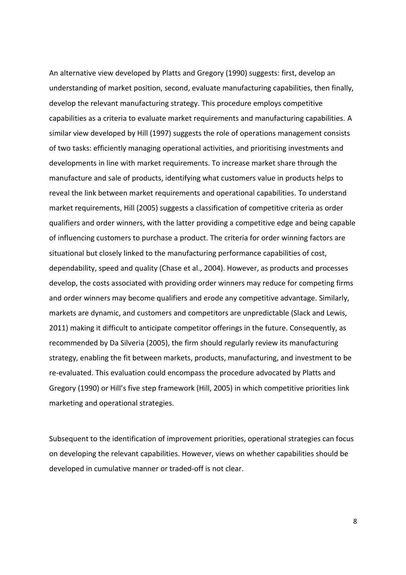An alternative view developed by Platts and Gregory (1990) suggests: first, develop an understanding of market position, second, evaluate manufacturing capabilities, then finally, develop the relevant manufacturing strategy. This procedure employs competitive capabilities as a criteria to evaluate market requirements and manufacturing capabilities. A similar view developed by Hill (1997) suggests the role of operations management consists of two tasks: efficiently managing operational activities, and prioritising investments and developments in line with market requirements. To increase market share through the manufacture and sale of products, identifying what customers value in products helps to reveal the link between market requirements and operational capabilities. To understand market requirements, Hill (2005) suggests a classification of competitive criteria as order qualifiers and order winners, with the latter providing a competitive edge and being capable of influencing customers to purchase a product. The criteria for order winning factors are situational but closely linked to the manufacturing performance capabilities of cost, dependability, speed and quality (Chase et al., 2004). However, as products and processes develop, the costs associated with providing order winners may reduce for competing firms and order winners may become qualifiers and erode any competitive advantage. Similarly, markets are dynamic, and customers and competitors are unpredictable (Slack and Lewis, 2011) making it difficult to anticipate competitor offerings in the future. Consequently, as recommended by Da Silveria (2005), the firm should regularly review its manufacturing strategy, enabling the fit between markets, products, manufacturing, and investment to be re-evaluated. This evaluation could encompass the procedure advocated by Platts and Gregory (1990) or Hill's five step framework (Hill, 2005) in which competitive priorities link marketing and operational strategies.

Subsequent to the identification of improvement priorities, operational strategies can focus on developing the relevant capabilities. However, views on whether capabilities should be developed in cumulative manner or traded-off is not clear.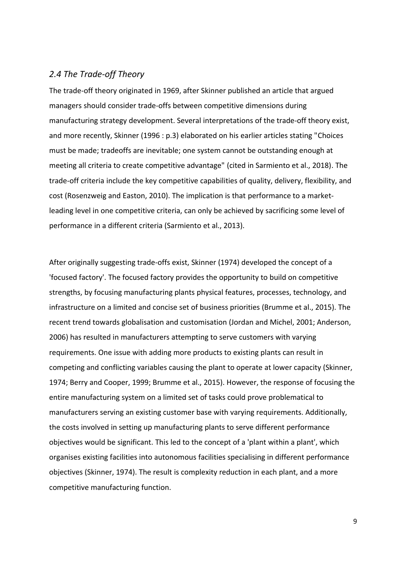## *2.4 The Trade-off Theory*

The trade-off theory originated in 1969, after Skinner published an article that argued managers should consider trade-offs between competitive dimensions during manufacturing strategy development. Several interpretations of the trade-off theory exist, and more recently, Skinner (1996 : p.3) elaborated on his earlier articles stating "Choices must be made; tradeoffs are inevitable; one system cannot be outstanding enough at meeting all criteria to create competitive advantage" (cited in Sarmiento et al., 2018). The trade-off criteria include the key competitive capabilities of quality, delivery, flexibility, and cost (Rosenzweig and Easton, 2010). The implication is that performance to a marketleading level in one competitive criteria, can only be achieved by sacrificing some level of performance in a different criteria (Sarmiento et al., 2013).

After originally suggesting trade-offs exist, Skinner (1974) developed the concept of a 'focused factory'. The focused factory provides the opportunity to build on competitive strengths, by focusing manufacturing plants physical features, processes, technology, and infrastructure on a limited and concise set of business priorities (Brumme et al., 2015). The recent trend towards globalisation and customisation (Jordan and Michel, 2001; Anderson, 2006) has resulted in manufacturers attempting to serve customers with varying requirements. One issue with adding more products to existing plants can result in competing and conflicting variables causing the plant to operate at lower capacity (Skinner, 1974; Berry and Cooper, 1999; Brumme et al., 2015). However, the response of focusing the entire manufacturing system on a limited set of tasks could prove problematical to manufacturers serving an existing customer base with varying requirements. Additionally, the costs involved in setting up manufacturing plants to serve different performance objectives would be significant. This led to the concept of a 'plant within a plant', which organises existing facilities into autonomous facilities specialising in different performance objectives (Skinner, 1974). The result is complexity reduction in each plant, and a more competitive manufacturing function.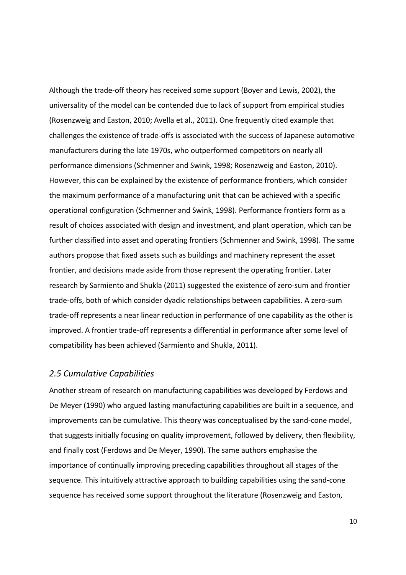Although the trade-off theory has received some support (Boyer and Lewis, 2002), the universality of the model can be contended due to lack of support from empirical studies (Rosenzweig and Easton, 2010; Avella et al., 2011). One frequently cited example that challenges the existence of trade-offs is associated with the success of Japanese automotive manufacturers during the late 1970s, who outperformed competitors on nearly all performance dimensions (Schmenner and Swink, 1998; Rosenzweig and Easton, 2010). However, this can be explained by the existence of performance frontiers, which consider the maximum performance of a manufacturing unit that can be achieved with a specific operational configuration (Schmenner and Swink, 1998). Performance frontiers form as a result of choices associated with design and investment, and plant operation, which can be further classified into asset and operating frontiers (Schmenner and Swink, 1998). The same authors propose that fixed assets such as buildings and machinery represent the asset frontier, and decisions made aside from those represent the operating frontier. Later research by Sarmiento and Shukla (2011) suggested the existence of zero-sum and frontier trade-offs, both of which consider dyadic relationships between capabilities. A zero-sum trade-off represents a near linear reduction in performance of one capability as the other is improved. A frontier trade-off represents a differential in performance after some level of compatibility has been achieved (Sarmiento and Shukla, 2011).

#### *2.5 Cumulative Capabilities*

Another stream of research on manufacturing capabilities was developed by Ferdows and De Meyer (1990) who argued lasting manufacturing capabilities are built in a sequence, and improvements can be cumulative. This theory was conceptualised by the sand-cone model, that suggests initially focusing on quality improvement, followed by delivery, then flexibility, and finally cost (Ferdows and De Meyer, 1990). The same authors emphasise the importance of continually improving preceding capabilities throughout all stages of the sequence. This intuitively attractive approach to building capabilities using the sand-cone sequence has received some support throughout the literature (Rosenzweig and Easton,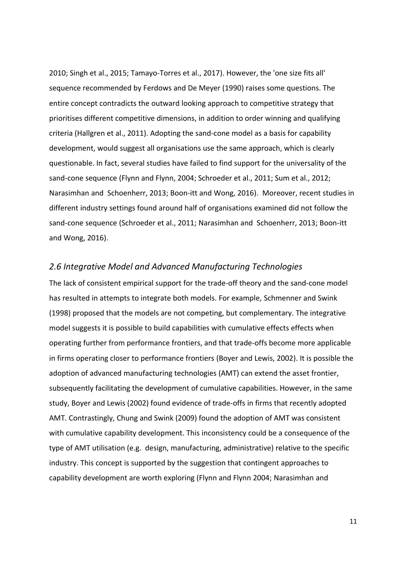2010; Singh et al., 2015; Tamayo-Torres et al., 2017). However, the 'one size fits all' sequence recommended by Ferdows and De Meyer (1990) raises some questions. The entire concept contradicts the outward looking approach to competitive strategy that prioritises different competitive dimensions, in addition to order winning and qualifying criteria (Hallgren et al., 2011). Adopting the sand-cone model as a basis for capability development, would suggest all organisations use the same approach, which is clearly questionable. In fact, several studies have failed to find support for the universality of the sand-cone sequence (Flynn and Flynn, 2004; Schroeder et al., 2011; Sum et al., 2012; Narasimhan and Schoenherr, 2013; Boon-itt and Wong, 2016). Moreover, recent studies in different industry settings found around half of organisations examined did not follow the sand-cone sequence (Schroeder et al., 2011; Narasimhan and Schoenherr, 2013; Boon-itt and Wong, 2016).

#### *2.6 Integrative Model and Advanced Manufacturing Technologies*

The lack of consistent empirical support for the trade-off theory and the sand-cone model has resulted in attempts to integrate both models. For example, Schmenner and Swink (1998) proposed that the models are not competing, but complementary. The integrative model suggests it is possible to build capabilities with cumulative effects effects when operating further from performance frontiers, and that trade-offs become more applicable in firms operating closer to performance frontiers (Boyer and Lewis, 2002). It is possible the adoption of advanced manufacturing technologies (AMT) can extend the asset frontier, subsequently facilitating the development of cumulative capabilities. However, in the same study, Boyer and Lewis (2002) found evidence of trade-offs in firms that recently adopted AMT. Contrastingly, Chung and Swink (2009) found the adoption of AMT was consistent with cumulative capability development. This inconsistency could be a consequence of the type of AMT utilisation (e.g. design, manufacturing, administrative) relative to the specific industry. This concept is supported by the suggestion that contingent approaches to capability development are worth exploring (Flynn and Flynn 2004; Narasimhan and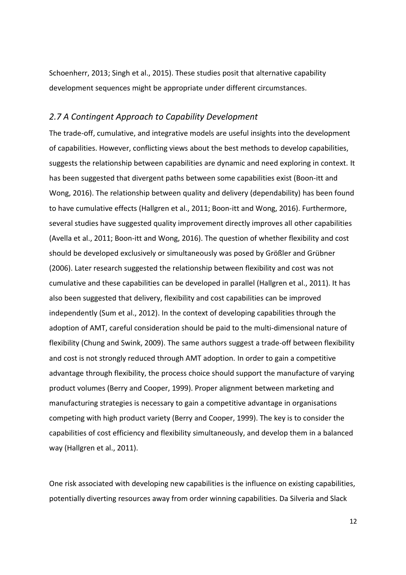Schoenherr, 2013; Singh et al., 2015). These studies posit that alternative capability development sequences might be appropriate under different circumstances.

#### *2.7 A Contingent Approach to Capability Development*

The trade-off, cumulative, and integrative models are useful insights into the development of capabilities. However, conflicting views about the best methods to develop capabilities, suggests the relationship between capabilities are dynamic and need exploring in context. It has been suggested that divergent paths between some capabilities exist (Boon-itt and Wong, 2016). The relationship between quality and delivery (dependability) has been found to have cumulative effects (Hallgren et al., 2011; Boon-itt and Wong, 2016). Furthermore, several studies have suggested quality improvement directly improves all other capabilities (Avella et al., 2011; Boon-itt and Wong, 2016). The question of whether flexibility and cost should be developed exclusively or simultaneously was posed by Größler and Grübner (2006). Later research suggested the relationship between flexibility and cost was not cumulative and these capabilities can be developed in parallel (Hallgren et al., 2011). It has also been suggested that delivery, flexibility and cost capabilities can be improved independently (Sum et al., 2012). In the context of developing capabilities through the adoption of AMT, careful consideration should be paid to the multi-dimensional nature of flexibility (Chung and Swink, 2009). The same authors suggest a trade-off between flexibility and cost is not strongly reduced through AMT adoption. In order to gain a competitive advantage through flexibility, the process choice should support the manufacture of varying product volumes (Berry and Cooper, 1999). Proper alignment between marketing and manufacturing strategies is necessary to gain a competitive advantage in organisations competing with high product variety (Berry and Cooper, 1999). The key is to consider the capabilities of cost efficiency and flexibility simultaneously, and develop them in a balanced way (Hallgren et al., 2011).

One risk associated with developing new capabilities is the influence on existing capabilities, potentially diverting resources away from order winning capabilities. Da Silveria and Slack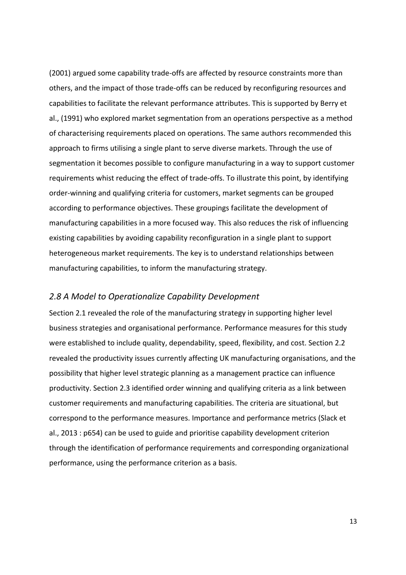(2001) argued some capability trade-offs are affected by resource constraints more than others, and the impact of those trade-offs can be reduced by reconfiguring resources and capabilities to facilitate the relevant performance attributes. This is supported by Berry et al., (1991) who explored market segmentation from an operations perspective as a method of characterising requirements placed on operations. The same authors recommended this approach to firms utilising a single plant to serve diverse markets. Through the use of segmentation it becomes possible to configure manufacturing in a way to support customer requirements whist reducing the effect of trade-offs. To illustrate this point, by identifying order-winning and qualifying criteria for customers, market segments can be grouped according to performance objectives. These groupings facilitate the development of manufacturing capabilities in a more focused way. This also reduces the risk of influencing existing capabilities by avoiding capability reconfiguration in a single plant to support heterogeneous market requirements. The key is to understand relationships between manufacturing capabilities, to inform the manufacturing strategy.

#### *2.8 A Model to Operationalize Capability Development*

Section 2.1 revealed the role of the manufacturing strategy in supporting higher level business strategies and organisational performance. Performance measures for this study were established to include quality, dependability, speed, flexibility, and cost. Section 2.2 revealed the productivity issues currently affecting UK manufacturing organisations, and the possibility that higher level strategic planning as a management practice can influence productivity. Section 2.3 identified order winning and qualifying criteria as a link between customer requirements and manufacturing capabilities. The criteria are situational, but correspond to the performance measures. Importance and performance metrics (Slack et al., 2013 : p654) can be used to guide and prioritise capability development criterion through the identification of performance requirements and corresponding organizational performance, using the performance criterion as a basis.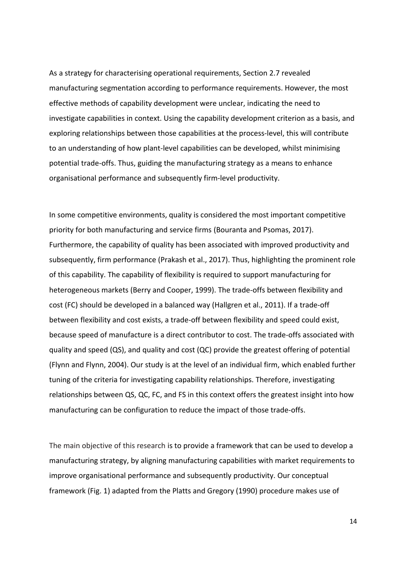As a strategy for characterising operational requirements, Section 2.7 revealed manufacturing segmentation according to performance requirements. However, the most effective methods of capability development were unclear, indicating the need to investigate capabilities in context. Using the capability development criterion as a basis, and exploring relationships between those capabilities at the process-level, this will contribute to an understanding of how plant-level capabilities can be developed, whilst minimising potential trade-offs. Thus, guiding the manufacturing strategy as a means to enhance organisational performance and subsequently firm-level productivity.

In some competitive environments, quality is considered the most important competitive priority for both manufacturing and service firms (Bouranta and Psomas, 2017). Furthermore, the capability of quality has been associated with improved productivity and subsequently, firm performance (Prakash et al., 2017). Thus, highlighting the prominent role of this capability. The capability of flexibility is required to support manufacturing for heterogeneous markets (Berry and Cooper, 1999). The trade-offs between flexibility and cost (FC) should be developed in a balanced way (Hallgren et al., 2011). If a trade-off between flexibility and cost exists, a trade-off between flexibility and speed could exist, because speed of manufacture is a direct contributor to cost. The trade-offs associated with quality and speed (QS), and quality and cost (QC) provide the greatest offering of potential (Flynn and Flynn, 2004). Our study is at the level of an individual firm, which enabled further tuning of the criteria for investigating capability relationships. Therefore, investigating relationships between QS, QC, FC, and FS in this context offers the greatest insight into how manufacturing can be configuration to reduce the impact of those trade-offs.

The main objective of this research is to provide a framework that can be used to develop a manufacturing strategy, by aligning manufacturing capabilities with market requirements to improve organisational performance and subsequently productivity. Our conceptual framework (Fig. 1) adapted from the Platts and Gregory (1990) procedure makes use of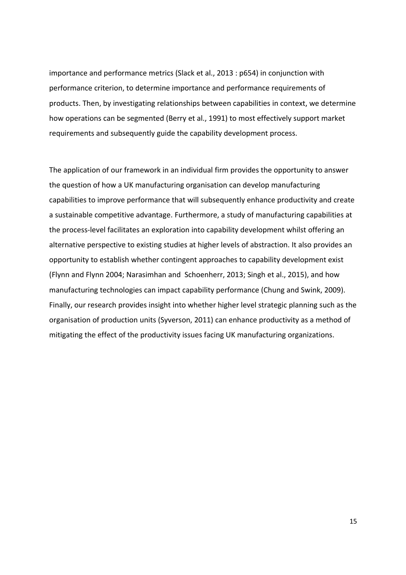importance and performance metrics (Slack et al., 2013 : p654) in conjunction with performance criterion, to determine importance and performance requirements of products. Then, by investigating relationships between capabilities in context, we determine how operations can be segmented (Berry et al., 1991) to most effectively support market requirements and subsequently guide the capability development process.

The application of our framework in an individual firm provides the opportunity to answer the question of how a UK manufacturing organisation can develop manufacturing capabilities to improve performance that will subsequently enhance productivity and create a sustainable competitive advantage. Furthermore, a study of manufacturing capabilities at the process-level facilitates an exploration into capability development whilst offering an alternative perspective to existing studies at higher levels of abstraction. It also provides an opportunity to establish whether contingent approaches to capability development exist (Flynn and Flynn 2004; Narasimhan and Schoenherr, 2013; Singh et al., 2015), and how manufacturing technologies can impact capability performance (Chung and Swink, 2009). Finally, our research provides insight into whether higher level strategic planning such as the organisation of production units (Syverson, 2011) can enhance productivity as a method of mitigating the effect of the productivity issues facing UK manufacturing organizations.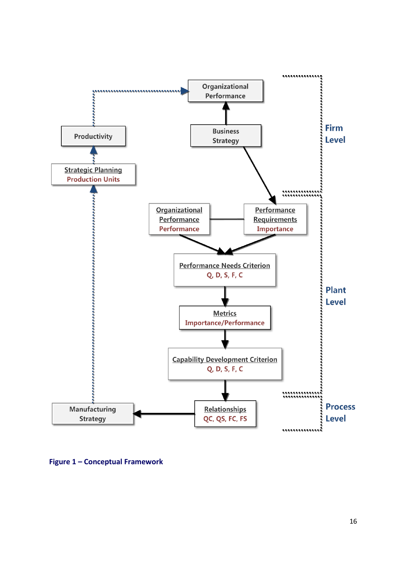

**Figure 1 – Conceptual Framework**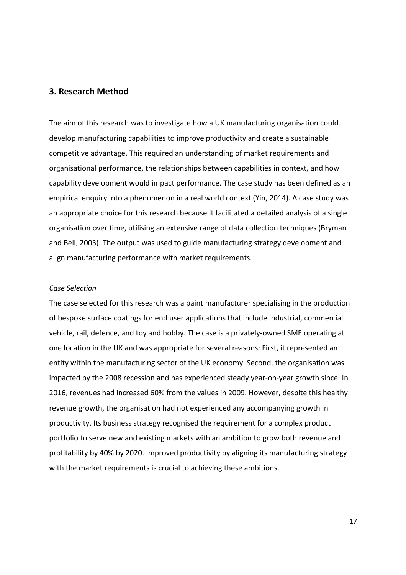#### **3. Research Method**

The aim of this research was to investigate how a UK manufacturing organisation could develop manufacturing capabilities to improve productivity and create a sustainable competitive advantage. This required an understanding of market requirements and organisational performance, the relationships between capabilities in context, and how capability development would impact performance. The case study has been defined as an empirical enquiry into a phenomenon in a real world context (Yin, 2014). A case study was an appropriate choice for this research because it facilitated a detailed analysis of a single organisation over time, utilising an extensive range of data collection techniques (Bryman and Bell, 2003). The output was used to guide manufacturing strategy development and align manufacturing performance with market requirements.

#### *Case Selection*

The case selected for this research was a paint manufacturer specialising in the production of bespoke surface coatings for end user applications that include industrial, commercial vehicle, rail, defence, and toy and hobby. The case is a privately-owned SME operating at one location in the UK and was appropriate for several reasons: First, it represented an entity within the manufacturing sector of the UK economy. Second, the organisation was impacted by the 2008 recession and has experienced steady year-on-year growth since. In 2016, revenues had increased 60% from the values in 2009. However, despite this healthy revenue growth, the organisation had not experienced any accompanying growth in productivity. Its business strategy recognised the requirement for a complex product portfolio to serve new and existing markets with an ambition to grow both revenue and profitability by 40% by 2020. Improved productivity by aligning its manufacturing strategy with the market requirements is crucial to achieving these ambitions.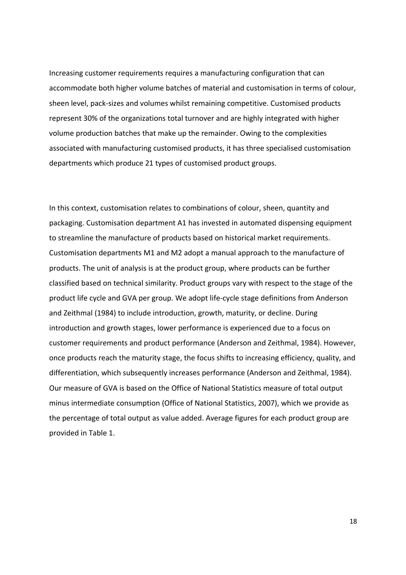Increasing customer requirements requires a manufacturing configuration that can accommodate both higher volume batches of material and customisation in terms of colour, sheen level, pack-sizes and volumes whilst remaining competitive. Customised products represent 30% of the organizations total turnover and are highly integrated with higher volume production batches that make up the remainder. Owing to the complexities associated with manufacturing customised products, it has three specialised customisation departments which produce 21 types of customised product groups.

In this context, customisation relates to combinations of colour, sheen, quantity and packaging. Customisation department A1 has invested in automated dispensing equipment to streamline the manufacture of products based on historical market requirements. Customisation departments M1 and M2 adopt a manual approach to the manufacture of products. The unit of analysis is at the product group, where products can be further classified based on technical similarity. Product groups vary with respect to the stage of the product life cycle and GVA per group. We adopt life-cycle stage definitions from Anderson and Zeithmal (1984) to include introduction, growth, maturity, or decline. During introduction and growth stages, lower performance is experienced due to a focus on customer requirements and product performance (Anderson and Zeithmal, 1984). However, once products reach the maturity stage, the focus shifts to increasing efficiency, quality, and differentiation, which subsequently increases performance (Anderson and Zeithmal, 1984). Our measure of GVA is based on the Office of National Statistics measure of total output minus intermediate consumption (Office of National Statistics, 2007), which we provide as the percentage of total output as value added. Average figures for each product group are provided in Table 1.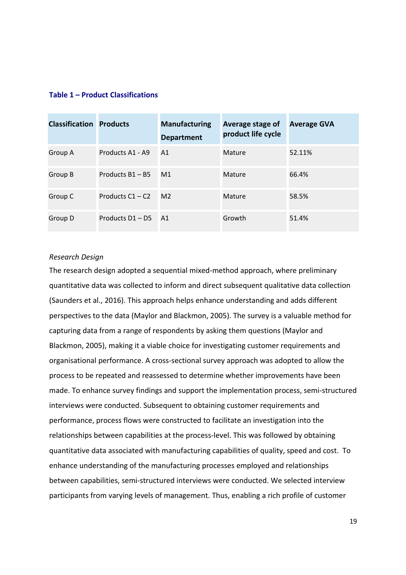#### **Table 1 – Product Classifications**

| <b>Classification Products</b> |                    | <b>Manufacturing</b><br><b>Department</b> | Average stage of<br>product life cycle | <b>Average GVA</b> |
|--------------------------------|--------------------|-------------------------------------------|----------------------------------------|--------------------|
| Group A                        | Products A1 - A9   | A <sub>1</sub>                            | Mature                                 | 52.11%             |
| Group B                        | Products B1 - B5   | M1                                        | Mature                                 | 66.4%              |
| Group C                        | Products $C1 - C2$ | M <sub>2</sub>                            | Mature                                 | 58.5%              |
| Group D                        | Products $D1 - DS$ | A1                                        | Growth                                 | 51.4%              |

#### *Research Design*

The research design adopted a sequential mixed-method approach, where preliminary quantitative data was collected to inform and direct subsequent qualitative data collection (Saunders et al., 2016). This approach helps enhance understanding and adds different perspectives to the data (Maylor and Blackmon, 2005). The survey is a valuable method for capturing data from a range of respondents by asking them questions (Maylor and Blackmon, 2005), making it a viable choice for investigating customer requirements and organisational performance. A cross-sectional survey approach was adopted to allow the process to be repeated and reassessed to determine whether improvements have been made. To enhance survey findings and support the implementation process, semi-structured interviews were conducted. Subsequent to obtaining customer requirements and performance, process flows were constructed to facilitate an investigation into the relationships between capabilities at the process-level. This was followed by obtaining quantitative data associated with manufacturing capabilities of quality, speed and cost. To enhance understanding of the manufacturing processes employed and relationships between capabilities, semi-structured interviews were conducted. We selected interview participants from varying levels of management. Thus, enabling a rich profile of customer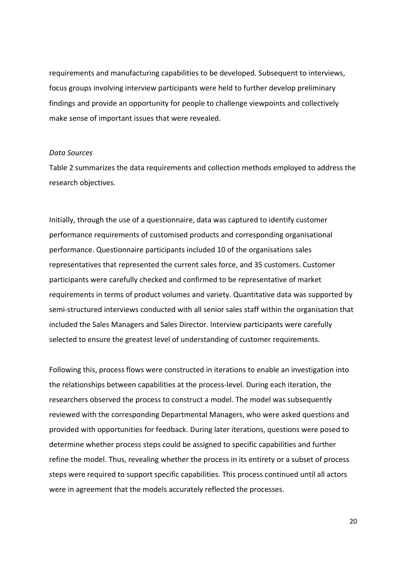requirements and manufacturing capabilities to be developed. Subsequent to interviews, focus groups involving interview participants were held to further develop preliminary findings and provide an opportunity for people to challenge viewpoints and collectively make sense of important issues that were revealed.

#### *Data Sources*

Table 2 summarizes the data requirements and collection methods employed to address the research objectives.

Initially, through the use of a questionnaire, data was captured to identify customer performance requirements of customised products and corresponding organisational performance. Questionnaire participants included 10 of the organisations sales representatives that represented the current sales force, and 35 customers. Customer participants were carefully checked and confirmed to be representative of market requirements in terms of product volumes and variety. Quantitative data was supported by semi-structured interviews conducted with all senior sales staff within the organisation that included the Sales Managers and Sales Director. Interview participants were carefully selected to ensure the greatest level of understanding of customer requirements.

Following this, process flows were constructed in iterations to enable an investigation into the relationships between capabilities at the process-level. During each iteration, the researchers observed the process to construct a model. The model was subsequently reviewed with the corresponding Departmental Managers, who were asked questions and provided with opportunities for feedback. During later iterations, questions were posed to determine whether process steps could be assigned to specific capabilities and further refine the model. Thus, revealing whether the process in its entirety or a subset of process steps were required to support specific capabilities. This process continued until all actors were in agreement that the models accurately reflected the processes.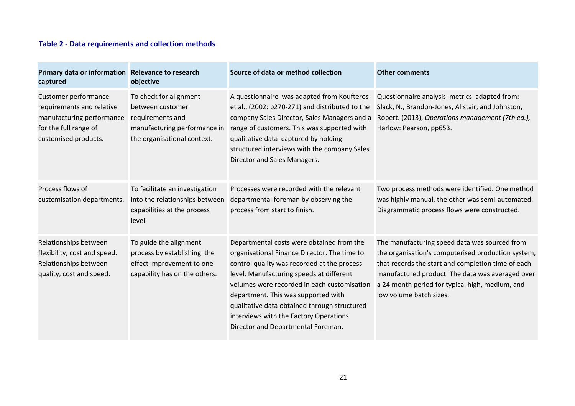## **Table 2 - Data requirements and collection methods**

| Primary data or information Relevance to research<br>captured                                                                   | objective                                                                                                                     | Source of data or method collection                                                                                                                                                                                                                                                                                                                                                                        | <b>Other comments</b>                                                                                                                                                                                                                                                                       |
|---------------------------------------------------------------------------------------------------------------------------------|-------------------------------------------------------------------------------------------------------------------------------|------------------------------------------------------------------------------------------------------------------------------------------------------------------------------------------------------------------------------------------------------------------------------------------------------------------------------------------------------------------------------------------------------------|---------------------------------------------------------------------------------------------------------------------------------------------------------------------------------------------------------------------------------------------------------------------------------------------|
| Customer performance<br>requirements and relative<br>manufacturing performance<br>for the full range of<br>customised products. | To check for alignment<br>between customer<br>requirements and<br>manufacturing performance in<br>the organisational context. | A questionnaire was adapted from Koufteros<br>et al., (2002: p270-271) and distributed to the<br>company Sales Director, Sales Managers and a<br>range of customers. This was supported with<br>qualitative data captured by holding<br>structured interviews with the company Sales<br>Director and Sales Managers.                                                                                       | Questionnaire analysis metrics adapted from:<br>Slack, N., Brandon-Jones, Alistair, and Johnston,<br>Robert. (2013), Operations management (7th ed.),<br>Harlow: Pearson, pp653.                                                                                                            |
| Process flows of<br>customisation departments.                                                                                  | To facilitate an investigation<br>into the relationships between<br>capabilities at the process<br>level.                     | Processes were recorded with the relevant<br>departmental foreman by observing the<br>process from start to finish.                                                                                                                                                                                                                                                                                        | Two process methods were identified. One method<br>was highly manual, the other was semi-automated.<br>Diagrammatic process flows were constructed.                                                                                                                                         |
| Relationships between<br>flexibility, cost and speed.<br>Relationships between<br>quality, cost and speed.                      | To guide the alignment<br>process by establishing the<br>effect improvement to one<br>capability has on the others.           | Departmental costs were obtained from the<br>organisational Finance Director. The time to<br>control quality was recorded at the process<br>level. Manufacturing speeds at different<br>volumes were recorded in each customisation<br>department. This was supported with<br>qualitative data obtained through structured<br>interviews with the Factory Operations<br>Director and Departmental Foreman. | The manufacturing speed data was sourced from<br>the organisation's computerised production system,<br>that records the start and completion time of each<br>manufactured product. The data was averaged over<br>a 24 month period for typical high, medium, and<br>low volume batch sizes. |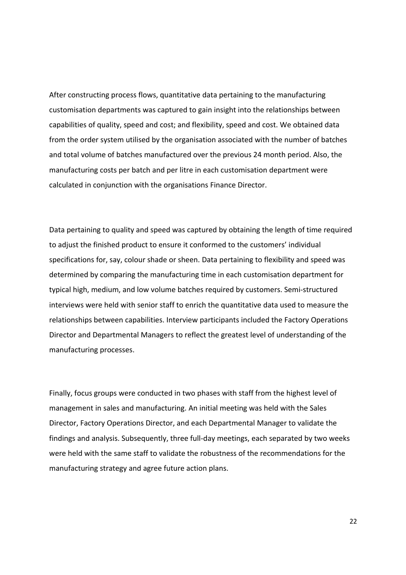After constructing process flows, quantitative data pertaining to the manufacturing customisation departments was captured to gain insight into the relationships between capabilities of quality, speed and cost; and flexibility, speed and cost. We obtained data from the order system utilised by the organisation associated with the number of batches and total volume of batches manufactured over the previous 24 month period. Also, the manufacturing costs per batch and per litre in each customisation department were calculated in conjunction with the organisations Finance Director.

Data pertaining to quality and speed was captured by obtaining the length of time required to adjust the finished product to ensure it conformed to the customers' individual specifications for, say, colour shade or sheen. Data pertaining to flexibility and speed was determined by comparing the manufacturing time in each customisation department for typical high, medium, and low volume batches required by customers. Semi-structured interviews were held with senior staff to enrich the quantitative data used to measure the relationships between capabilities. Interview participants included the Factory Operations Director and Departmental Managers to reflect the greatest level of understanding of the manufacturing processes.

Finally, focus groups were conducted in two phases with staff from the highest level of management in sales and manufacturing. An initial meeting was held with the Sales Director, Factory Operations Director, and each Departmental Manager to validate the findings and analysis. Subsequently, three full-day meetings, each separated by two weeks were held with the same staff to validate the robustness of the recommendations for the manufacturing strategy and agree future action plans.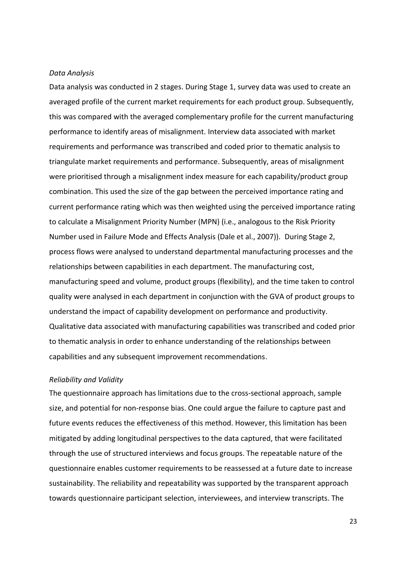#### *Data Analysis*

Data analysis was conducted in 2 stages. During Stage 1, survey data was used to create an averaged profile of the current market requirements for each product group. Subsequently, this was compared with the averaged complementary profile for the current manufacturing performance to identify areas of misalignment. Interview data associated with market requirements and performance was transcribed and coded prior to thematic analysis to triangulate market requirements and performance. Subsequently, areas of misalignment were prioritised through a misalignment index measure for each capability/product group combination. This used the size of the gap between the perceived importance rating and current performance rating which was then weighted using the perceived importance rating to calculate a Misalignment Priority Number (MPN) (i.e., analogous to the Risk Priority Number used in Failure Mode and Effects Analysis (Dale et al., 2007)). During Stage 2, process flows were analysed to understand departmental manufacturing processes and the relationships between capabilities in each department. The manufacturing cost, manufacturing speed and volume, product groups (flexibility), and the time taken to control quality were analysed in each department in conjunction with the GVA of product groups to understand the impact of capability development on performance and productivity. Qualitative data associated with manufacturing capabilities was transcribed and coded prior to thematic analysis in order to enhance understanding of the relationships between capabilities and any subsequent improvement recommendations.

#### *Reliability and Validity*

The questionnaire approach has limitations due to the cross-sectional approach, sample size, and potential for non-response bias. One could argue the failure to capture past and future events reduces the effectiveness of this method. However, this limitation has been mitigated by adding longitudinal perspectives to the data captured, that were facilitated through the use of structured interviews and focus groups. The repeatable nature of the questionnaire enables customer requirements to be reassessed at a future date to increase sustainability. The reliability and repeatability was supported by the transparent approach towards questionnaire participant selection, interviewees, and interview transcripts. The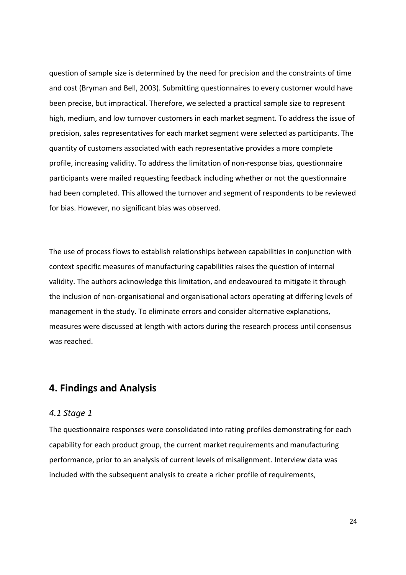question of sample size is determined by the need for precision and the constraints of time and cost (Bryman and Bell, 2003). Submitting questionnaires to every customer would have been precise, but impractical. Therefore, we selected a practical sample size to represent high, medium, and low turnover customers in each market segment. To address the issue of precision, sales representatives for each market segment were selected as participants. The quantity of customers associated with each representative provides a more complete profile, increasing validity. To address the limitation of non-response bias, questionnaire participants were mailed requesting feedback including whether or not the questionnaire had been completed. This allowed the turnover and segment of respondents to be reviewed for bias. However, no significant bias was observed.

The use of process flows to establish relationships between capabilities in conjunction with context specific measures of manufacturing capabilities raises the question of internal validity. The authors acknowledge this limitation, and endeavoured to mitigate it through the inclusion of non-organisational and organisational actors operating at differing levels of management in the study. To eliminate errors and consider alternative explanations, measures were discussed at length with actors during the research process until consensus was reached.

## **4. Findings and Analysis**

#### *4.1 Stage 1*

The questionnaire responses were consolidated into rating profiles demonstrating for each capability for each product group, the current market requirements and manufacturing performance, prior to an analysis of current levels of misalignment. Interview data was included with the subsequent analysis to create a richer profile of requirements,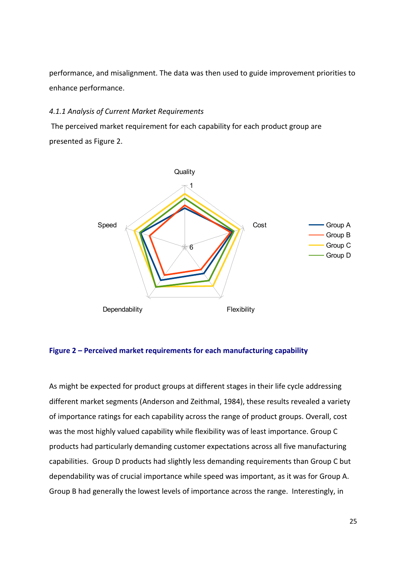performance, and misalignment. The data was then used to guide improvement priorities to enhance performance.

#### *4.1.1 Analysis of Current Market Requirements*

The perceived market requirement for each capability for each product group are presented as Figure 2.



#### **Figure 2 – Perceived market requirements for each manufacturing capability**

As might be expected for product groups at different stages in their life cycle addressing different market segments (Anderson and Zeithmal, 1984), these results revealed a variety of importance ratings for each capability across the range of product groups. Overall, cost was the most highly valued capability while flexibility was of least importance. Group C products had particularly demanding customer expectations across all five manufacturing capabilities. Group D products had slightly less demanding requirements than Group C but dependability was of crucial importance while speed was important, as it was for Group A. Group B had generally the lowest levels of importance across the range. Interestingly, in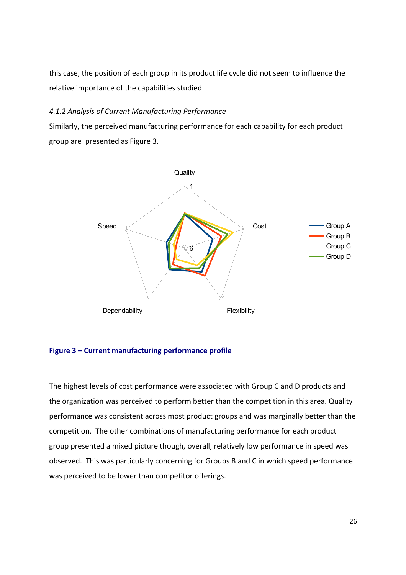this case, the position of each group in its product life cycle did not seem to influence the relative importance of the capabilities studied.

#### *4.1.2 Analysis of Current Manufacturing Performance*

Similarly, the perceived manufacturing performance for each capability for each product group are presented as Figure 3.



#### **Figure 3 – Current manufacturing performance profile**

The highest levels of cost performance were associated with Group C and D products and the organization was perceived to perform better than the competition in this area. Quality performance was consistent across most product groups and was marginally better than the competition. The other combinations of manufacturing performance for each product group presented a mixed picture though, overall, relatively low performance in speed was observed. This was particularly concerning for Groups B and C in which speed performance was perceived to be lower than competitor offerings.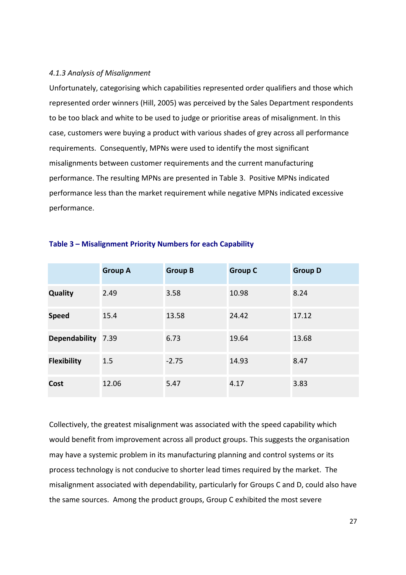#### *4.1.3 Analysis of Misalignment*

Unfortunately, categorising which capabilities represented order qualifiers and those which represented order winners (Hill, 2005) was perceived by the Sales Department respondents to be too black and white to be used to judge or prioritise areas of misalignment. In this case, customers were buying a product with various shades of grey across all performance requirements. Consequently, MPNs were used to identify the most significant misalignments between customer requirements and the current manufacturing performance. The resulting MPNs are presented in Table 3. Positive MPNs indicated performance less than the market requirement while negative MPNs indicated excessive performance.

|                    | <b>Group A</b> | <b>Group B</b> | <b>Group C</b> | <b>Group D</b> |
|--------------------|----------------|----------------|----------------|----------------|
| <b>Quality</b>     | 2.49           | 3.58           | 10.98          | 8.24           |
| <b>Speed</b>       | 15.4           | 13.58          | 24.42          | 17.12          |
| Dependability 7.39 |                | 6.73           | 19.64          | 13.68          |
| <b>Flexibility</b> | 1.5            | $-2.75$        | 14.93          | 8.47           |
| Cost               | 12.06          | 5.47           | 4.17           | 3.83           |

#### **Table 3 – Misalignment Priority Numbers for each Capability**

Collectively, the greatest misalignment was associated with the speed capability which would benefit from improvement across all product groups. This suggests the organisation may have a systemic problem in its manufacturing planning and control systems or its process technology is not conducive to shorter lead times required by the market. The misalignment associated with dependability, particularly for Groups C and D, could also have the same sources. Among the product groups, Group C exhibited the most severe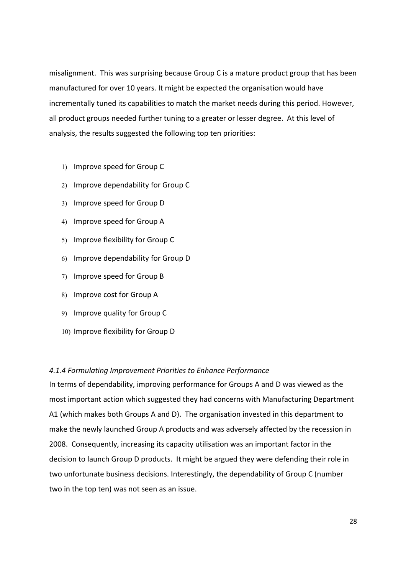misalignment. This was surprising because Group C is a mature product group that has been manufactured for over 10 years. It might be expected the organisation would have incrementally tuned its capabilities to match the market needs during this period. However, all product groups needed further tuning to a greater or lesser degree. At this level of analysis, the results suggested the following top ten priorities:

- 1) Improve speed for Group C
- 2) Improve dependability for Group C
- 3) Improve speed for Group D
- 4) Improve speed for Group A
- 5) Improve flexibility for Group C
- 6) Improve dependability for Group D
- 7) Improve speed for Group B
- 8) Improve cost for Group A
- 9) Improve quality for Group C
- 10) Improve flexibility for Group D

#### *4.1.4 Formulating Improvement Priorities to Enhance Performance*

In terms of dependability, improving performance for Groups A and D was viewed as the most important action which suggested they had concerns with Manufacturing Department A1 (which makes both Groups A and D). The organisation invested in this department to make the newly launched Group A products and was adversely affected by the recession in 2008. Consequently, increasing its capacity utilisation was an important factor in the decision to launch Group D products. It might be argued they were defending their role in two unfortunate business decisions. Interestingly, the dependability of Group C (number two in the top ten) was not seen as an issue.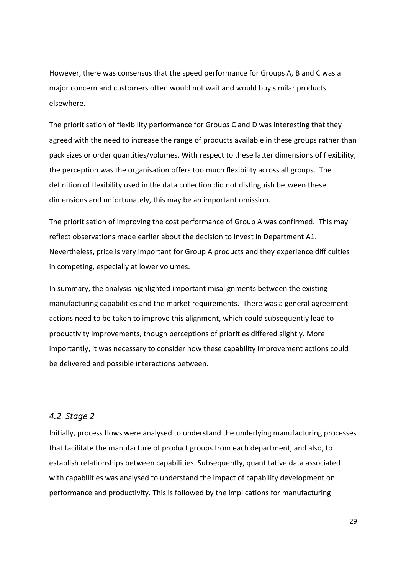However, there was consensus that the speed performance for Groups A, B and C was a major concern and customers often would not wait and would buy similar products elsewhere.

The prioritisation of flexibility performance for Groups C and D was interesting that they agreed with the need to increase the range of products available in these groups rather than pack sizes or order quantities/volumes. With respect to these latter dimensions of flexibility, the perception was the organisation offers too much flexibility across all groups. The definition of flexibility used in the data collection did not distinguish between these dimensions and unfortunately, this may be an important omission.

The prioritisation of improving the cost performance of Group A was confirmed. This may reflect observations made earlier about the decision to invest in Department A1. Nevertheless, price is very important for Group A products and they experience difficulties in competing, especially at lower volumes.

In summary, the analysis highlighted important misalignments between the existing manufacturing capabilities and the market requirements. There was a general agreement actions need to be taken to improve this alignment, which could subsequently lead to productivity improvements, though perceptions of priorities differed slightly. More importantly, it was necessary to consider how these capability improvement actions could be delivered and possible interactions between.

#### *4.2 Stage 2*

Initially, process flows were analysed to understand the underlying manufacturing processes that facilitate the manufacture of product groups from each department, and also, to establish relationships between capabilities. Subsequently, quantitative data associated with capabilities was analysed to understand the impact of capability development on performance and productivity. This is followed by the implications for manufacturing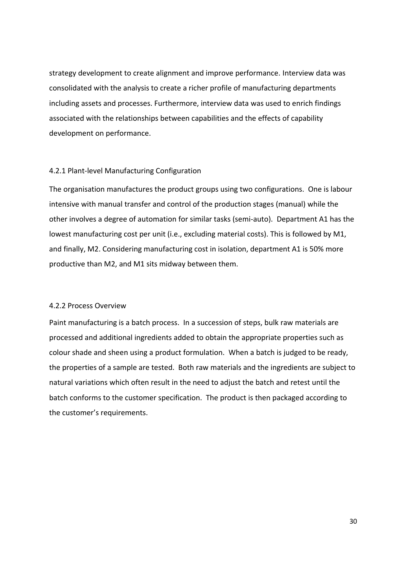strategy development to create alignment and improve performance. Interview data was consolidated with the analysis to create a richer profile of manufacturing departments including assets and processes. Furthermore, interview data was used to enrich findings associated with the relationships between capabilities and the effects of capability development on performance.

#### 4.2.1 Plant-level Manufacturing Configuration

The organisation manufactures the product groups using two configurations. One is labour intensive with manual transfer and control of the production stages (manual) while the other involves a degree of automation for similar tasks (semi-auto). Department A1 has the lowest manufacturing cost per unit (i.e., excluding material costs). This is followed by M1, and finally, M2. Considering manufacturing cost in isolation, department A1 is 50% more productive than M2, and M1 sits midway between them.

#### 4.2.2 Process Overview

Paint manufacturing is a batch process. In a succession of steps, bulk raw materials are processed and additional ingredients added to obtain the appropriate properties such as colour shade and sheen using a product formulation. When a batch is judged to be ready, the properties of a sample are tested. Both raw materials and the ingredients are subject to natural variations which often result in the need to adjust the batch and retest until the batch conforms to the customer specification. The product is then packaged according to the customer's requirements.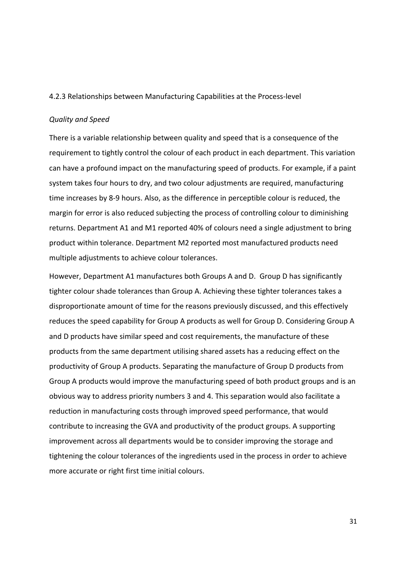#### 4.2.3 Relationships between Manufacturing Capabilities at the Process-level

#### *Quality and Speed*

There is a variable relationship between quality and speed that is a consequence of the requirement to tightly control the colour of each product in each department. This variation can have a profound impact on the manufacturing speed of products. For example, if a paint system takes four hours to dry, and two colour adjustments are required, manufacturing time increases by 8-9 hours. Also, as the difference in perceptible colour is reduced, the margin for error is also reduced subjecting the process of controlling colour to diminishing returns. Department A1 and M1 reported 40% of colours need a single adjustment to bring product within tolerance. Department M2 reported most manufactured products need multiple adjustments to achieve colour tolerances.

However, Department A1 manufactures both Groups A and D. Group D has significantly tighter colour shade tolerances than Group A. Achieving these tighter tolerances takes a disproportionate amount of time for the reasons previously discussed, and this effectively reduces the speed capability for Group A products as well for Group D. Considering Group A and D products have similar speed and cost requirements, the manufacture of these products from the same department utilising shared assets has a reducing effect on the productivity of Group A products. Separating the manufacture of Group D products from Group A products would improve the manufacturing speed of both product groups and is an obvious way to address priority numbers 3 and 4. This separation would also facilitate a reduction in manufacturing costs through improved speed performance, that would contribute to increasing the GVA and productivity of the product groups. A supporting improvement across all departments would be to consider improving the storage and tightening the colour tolerances of the ingredients used in the process in order to achieve more accurate or right first time initial colours.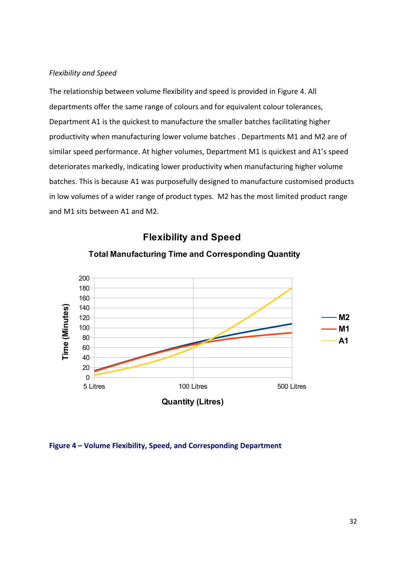#### *Flexibility and Speed*

The relationship between volume flexibility and speed is provided in Figure 4. All departments offer the same range of colours and for equivalent colour tolerances, Department A1 is the quickest to manufacture the smaller batches facilitating higher productivity when manufacturing lower volume batches . Departments M1 and M2 are of similar speed performance. At higher volumes, Department M1 is quickest and A1's speed deteriorates markedly, indicating lower productivity when manufacturing higher volume batches. This is because A1 was purposefully designed to manufacture customised products in low volumes of a wider range of product types. M2 has the most limited product range and M1 sits between A1 and M2.



## **Flexibility and Speed**

## **Total Manufacturing Time and Corresponding Quantity**

**Figure 4 – Volume Flexibility, Speed, and Corresponding Department**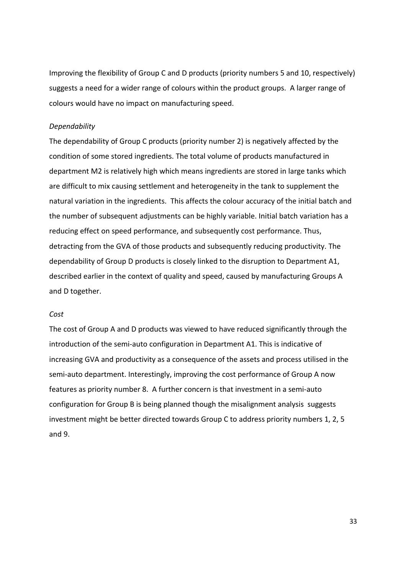Improving the flexibility of Group C and D products (priority numbers 5 and 10, respectively) suggests a need for a wider range of colours within the product groups. A larger range of colours would have no impact on manufacturing speed.

#### *Dependability*

The dependability of Group C products (priority number 2) is negatively affected by the condition of some stored ingredients. The total volume of products manufactured in department M2 is relatively high which means ingredients are stored in large tanks which are difficult to mix causing settlement and heterogeneity in the tank to supplement the natural variation in the ingredients. This affects the colour accuracy of the initial batch and the number of subsequent adjustments can be highly variable. Initial batch variation has a reducing effect on speed performance, and subsequently cost performance. Thus, detracting from the GVA of those products and subsequently reducing productivity. The dependability of Group D products is closely linked to the disruption to Department A1, described earlier in the context of quality and speed, caused by manufacturing Groups A and D together.

#### *Cost*

The cost of Group A and D products was viewed to have reduced significantly through the introduction of the semi-auto configuration in Department A1. This is indicative of increasing GVA and productivity as a consequence of the assets and process utilised in the semi-auto department. Interestingly, improving the cost performance of Group A now features as priority number 8. A further concern is that investment in a semi-auto configuration for Group B is being planned though the misalignment analysis suggests investment might be better directed towards Group C to address priority numbers 1, 2, 5 and 9.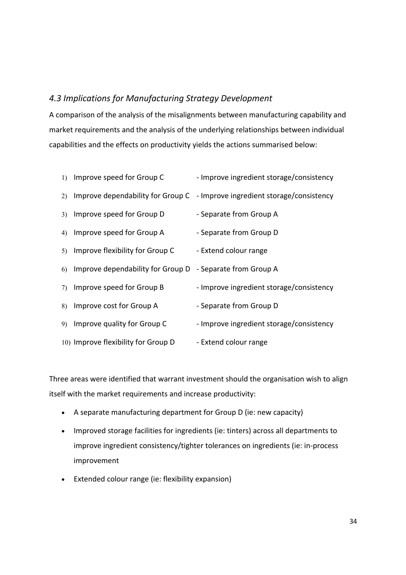## *4.3 Implications for Manufacturing Strategy Development*

A comparison of the analysis of the misalignments between manufacturing capability and market requirements and the analysis of the underlying relationships between individual capabilities and the effects on productivity yields the actions summarised below:

|    | 1) Improve speed for Group C        | - Improve ingredient storage/consistency                                   |
|----|-------------------------------------|----------------------------------------------------------------------------|
| 2) |                                     | Improve dependability for Group C - Improve ingredient storage/consistency |
|    | 3) Improve speed for Group D        | - Separate from Group A                                                    |
| 4) | Improve speed for Group A           | - Separate from Group D                                                    |
| 5) | Improve flexibility for Group C     | - Extend colour range                                                      |
| 6) | Improve dependability for Group D   | - Separate from Group A                                                    |
| 7) | Improve speed for Group B           | - Improve ingredient storage/consistency                                   |
| 8) | Improve cost for Group A            | - Separate from Group D                                                    |
| 9) | Improve quality for Group C         | - Improve ingredient storage/consistency                                   |
|    | 10) Improve flexibility for Group D | - Extend colour range                                                      |

Three areas were identified that warrant investment should the organisation wish to align itself with the market requirements and increase productivity:

- A separate manufacturing department for Group D (ie: new capacity)
- Improved storage facilities for ingredients (ie: tinters) across all departments to improve ingredient consistency/tighter tolerances on ingredients (ie: in-process improvement
- Extended colour range (ie: flexibility expansion)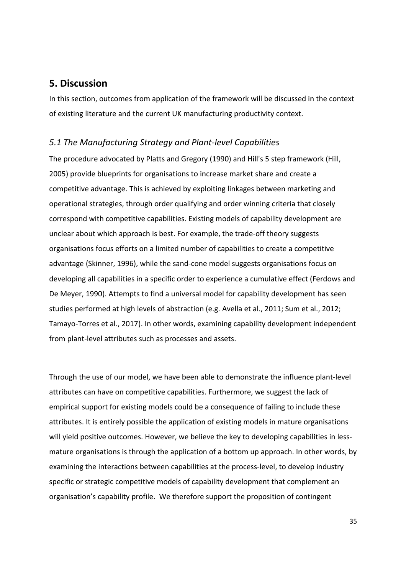## **5. Discussion**

In this section, outcomes from application of the framework will be discussed in the context of existing literature and the current UK manufacturing productivity context.

#### *5.1 The Manufacturing Strategy and Plant-level Capabilities*

The procedure advocated by Platts and Gregory (1990) and Hill's 5 step framework (Hill, 2005) provide blueprints for organisations to increase market share and create a competitive advantage. This is achieved by exploiting linkages between marketing and operational strategies, through order qualifying and order winning criteria that closely correspond with competitive capabilities. Existing models of capability development are unclear about which approach is best. For example, the trade-off theory suggests organisations focus efforts on a limited number of capabilities to create a competitive advantage (Skinner, 1996), while the sand-cone model suggests organisations focus on developing all capabilities in a specific order to experience a cumulative effect (Ferdows and De Meyer, 1990). Attempts to find a universal model for capability development has seen studies performed at high levels of abstraction (e.g. Avella et al., 2011; Sum et al., 2012; Tamayo-Torres et al., 2017). In other words, examining capability development independent from plant-level attributes such as processes and assets.

Through the use of our model, we have been able to demonstrate the influence plant-level attributes can have on competitive capabilities. Furthermore, we suggest the lack of empirical support for existing models could be a consequence of failing to include these attributes. It is entirely possible the application of existing models in mature organisations will yield positive outcomes. However, we believe the key to developing capabilities in lessmature organisations is through the application of a bottom up approach. In other words, by examining the interactions between capabilities at the process-level, to develop industry specific or strategic competitive models of capability development that complement an organisation's capability profile. We therefore support the proposition of contingent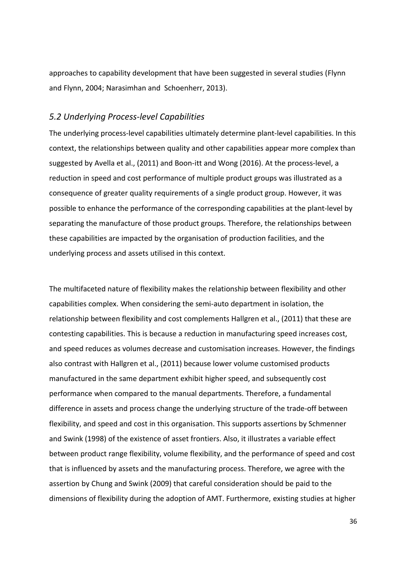approaches to capability development that have been suggested in several studies (Flynn and Flynn, 2004; Narasimhan and Schoenherr, 2013).

#### *5.2 Underlying Process-level Capabilities*

The underlying process-level capabilities ultimately determine plant-level capabilities. In this context, the relationships between quality and other capabilities appear more complex than suggested by Avella et al., (2011) and Boon-itt and Wong (2016). At the process-level, a reduction in speed and cost performance of multiple product groups was illustrated as a consequence of greater quality requirements of a single product group. However, it was possible to enhance the performance of the corresponding capabilities at the plant-level by separating the manufacture of those product groups. Therefore, the relationships between these capabilities are impacted by the organisation of production facilities, and the underlying process and assets utilised in this context.

The multifaceted nature of flexibility makes the relationship between flexibility and other capabilities complex. When considering the semi-auto department in isolation, the relationship between flexibility and cost complements Hallgren et al., (2011) that these are contesting capabilities. This is because a reduction in manufacturing speed increases cost, and speed reduces as volumes decrease and customisation increases. However, the findings also contrast with Hallgren et al., (2011) because lower volume customised products manufactured in the same department exhibit higher speed, and subsequently cost performance when compared to the manual departments. Therefore, a fundamental difference in assets and process change the underlying structure of the trade-off between flexibility, and speed and cost in this organisation. This supports assertions by Schmenner and Swink (1998) of the existence of asset frontiers. Also, it illustrates a variable effect between product range flexibility, volume flexibility, and the performance of speed and cost that is influenced by assets and the manufacturing process. Therefore, we agree with the assertion by Chung and Swink (2009) that careful consideration should be paid to the dimensions of flexibility during the adoption of AMT. Furthermore, existing studies at higher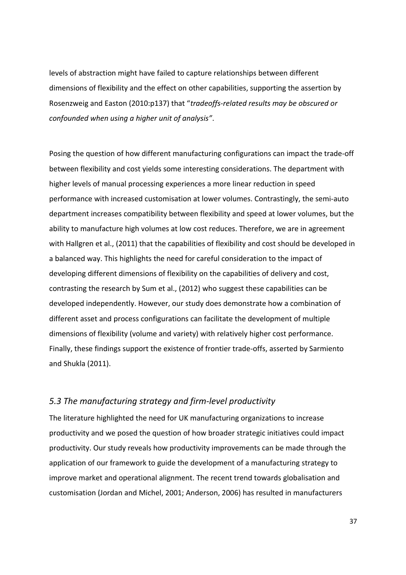levels of abstraction might have failed to capture relationships between different dimensions of flexibility and the effect on other capabilities, supporting the assertion by Rosenzweig and Easton (2010:p137) that "*tradeoffs-related results may be obscured or confounded when using a higher unit of analysis"*.

Posing the question of how different manufacturing configurations can impact the trade-off between flexibility and cost yields some interesting considerations. The department with higher levels of manual processing experiences a more linear reduction in speed performance with increased customisation at lower volumes. Contrastingly, the semi-auto department increases compatibility between flexibility and speed at lower volumes, but the ability to manufacture high volumes at low cost reduces. Therefore, we are in agreement with Hallgren et al., (2011) that the capabilities of flexibility and cost should be developed in a balanced way. This highlights the need for careful consideration to the impact of developing different dimensions of flexibility on the capabilities of delivery and cost, contrasting the research by Sum et al., (2012) who suggest these capabilities can be developed independently. However, our study does demonstrate how a combination of different asset and process configurations can facilitate the development of multiple dimensions of flexibility (volume and variety) with relatively higher cost performance. Finally, these findings support the existence of frontier trade-offs, asserted by Sarmiento and Shukla (2011).

## *5.3 The manufacturing strategy and firm-level productivity*

The literature highlighted the need for UK manufacturing organizations to increase productivity and we posed the question of how broader strategic initiatives could impact productivity. Our study reveals how productivity improvements can be made through the application of our framework to guide the development of a manufacturing strategy to improve market and operational alignment. The recent trend towards globalisation and customisation (Jordan and Michel, 2001; Anderson, 2006) has resulted in manufacturers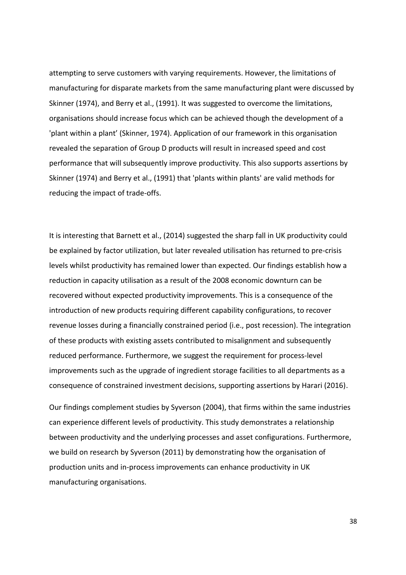attempting to serve customers with varying requirements. However, the limitations of manufacturing for disparate markets from the same manufacturing plant were discussed by Skinner (1974), and Berry et al., (1991). It was suggested to overcome the limitations, organisations should increase focus which can be achieved though the development of a 'plant within a plant' (Skinner, 1974). Application of our framework in this organisation revealed the separation of Group D products will result in increased speed and cost performance that will subsequently improve productivity. This also supports assertions by Skinner (1974) and Berry et al., (1991) that 'plants within plants' are valid methods for reducing the impact of trade-offs.

It is interesting that Barnett et al., (2014) suggested the sharp fall in UK productivity could be explained by factor utilization, but later revealed utilisation has returned to pre-crisis levels whilst productivity has remained lower than expected. Our findings establish how a reduction in capacity utilisation as a result of the 2008 economic downturn can be recovered without expected productivity improvements. This is a consequence of the introduction of new products requiring different capability configurations, to recover revenue losses during a financially constrained period (i.e., post recession). The integration of these products with existing assets contributed to misalignment and subsequently reduced performance. Furthermore, we suggest the requirement for process-level improvements such as the upgrade of ingredient storage facilities to all departments as a consequence of constrained investment decisions, supporting assertions by Harari (2016).

Our findings complement studies by Syverson (2004), that firms within the same industries can experience different levels of productivity. This study demonstrates a relationship between productivity and the underlying processes and asset configurations. Furthermore, we build on research by Syverson (2011) by demonstrating how the organisation of production units and in-process improvements can enhance productivity in UK manufacturing organisations.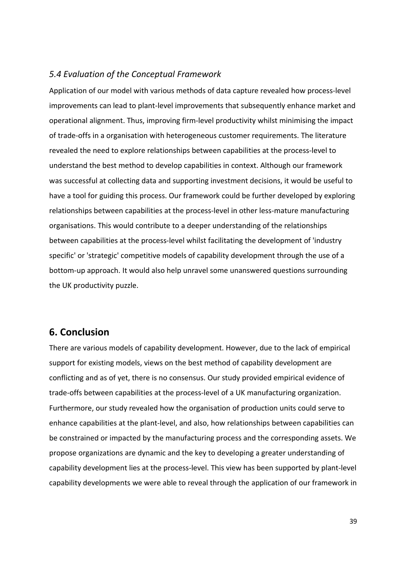#### *5.4 Evaluation of the Conceptual Framework*

Application of our model with various methods of data capture revealed how process-level improvements can lead to plant-level improvements that subsequently enhance market and operational alignment. Thus, improving firm-level productivity whilst minimising the impact of trade-offs in a organisation with heterogeneous customer requirements. The literature revealed the need to explore relationships between capabilities at the process-level to understand the best method to develop capabilities in context. Although our framework was successful at collecting data and supporting investment decisions, it would be useful to have a tool for guiding this process. Our framework could be further developed by exploring relationships between capabilities at the process-level in other less-mature manufacturing organisations. This would contribute to a deeper understanding of the relationships between capabilities at the process-level whilst facilitating the development of 'industry specific' or 'strategic' competitive models of capability development through the use of a bottom-up approach. It would also help unravel some unanswered questions surrounding the UK productivity puzzle.

## **6. Conclusion**

There are various models of capability development. However, due to the lack of empirical support for existing models, views on the best method of capability development are conflicting and as of yet, there is no consensus. Our study provided empirical evidence of trade-offs between capabilities at the process-level of a UK manufacturing organization. Furthermore, our study revealed how the organisation of production units could serve to enhance capabilities at the plant-level, and also, how relationships between capabilities can be constrained or impacted by the manufacturing process and the corresponding assets. We propose organizations are dynamic and the key to developing a greater understanding of capability development lies at the process-level. This view has been supported by plant-level capability developments we were able to reveal through the application of our framework in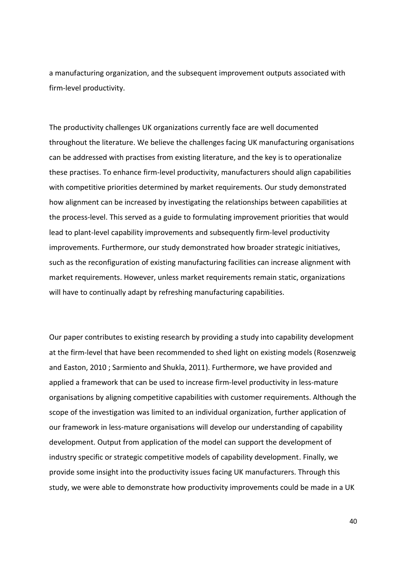a manufacturing organization, and the subsequent improvement outputs associated with firm-level productivity.

The productivity challenges UK organizations currently face are well documented throughout the literature. We believe the challenges facing UK manufacturing organisations can be addressed with practises from existing literature, and the key is to operationalize these practises. To enhance firm-level productivity, manufacturers should align capabilities with competitive priorities determined by market requirements. Our study demonstrated how alignment can be increased by investigating the relationships between capabilities at the process-level. This served as a guide to formulating improvement priorities that would lead to plant-level capability improvements and subsequently firm-level productivity improvements. Furthermore, our study demonstrated how broader strategic initiatives, such as the reconfiguration of existing manufacturing facilities can increase alignment with market requirements. However, unless market requirements remain static, organizations will have to continually adapt by refreshing manufacturing capabilities.

Our paper contributes to existing research by providing a study into capability development at the firm-level that have been recommended to shed light on existing models (Rosenzweig and Easton, 2010 ; Sarmiento and Shukla, 2011). Furthermore, we have provided and applied a framework that can be used to increase firm-level productivity in less-mature organisations by aligning competitive capabilities with customer requirements. Although the scope of the investigation was limited to an individual organization, further application of our framework in less-mature organisations will develop our understanding of capability development. Output from application of the model can support the development of industry specific or strategic competitive models of capability development. Finally, we provide some insight into the productivity issues facing UK manufacturers. Through this study, we were able to demonstrate how productivity improvements could be made in a UK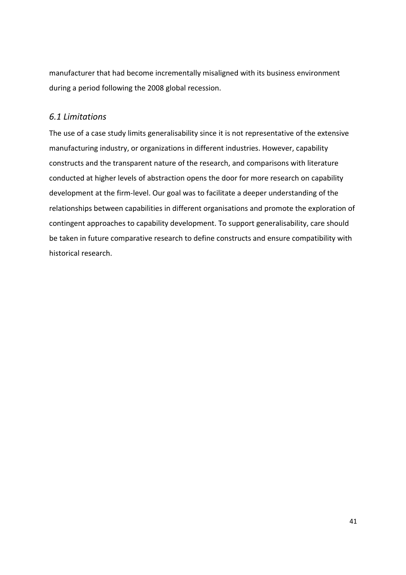manufacturer that had become incrementally misaligned with its business environment during a period following the 2008 global recession.

## *6.1 Limitations*

The use of a case study limits generalisability since it is not representative of the extensive manufacturing industry, or organizations in different industries. However, capability constructs and the transparent nature of the research, and comparisons with literature conducted at higher levels of abstraction opens the door for more research on capability development at the firm-level. Our goal was to facilitate a deeper understanding of the relationships between capabilities in different organisations and promote the exploration of contingent approaches to capability development. To support generalisability, care should be taken in future comparative research to define constructs and ensure compatibility with historical research.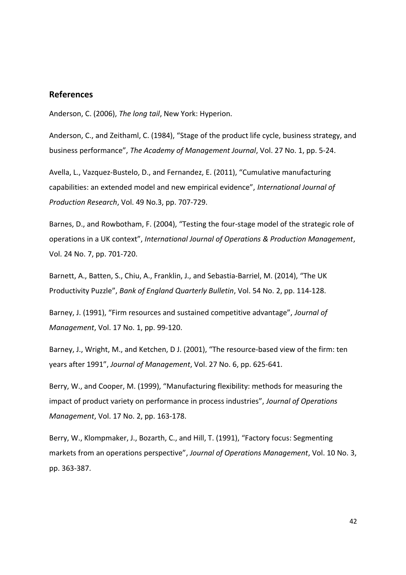#### **References**

Anderson, C. (2006), *The long tail*, New York: Hyperion.

Anderson, C., and Zeithaml, C. (1984), "Stage of the product life cycle, business strategy, and business performance", *The Academy of Management Journal*, Vol. 27 No. 1, pp. 5-24.

Avella, L., Vazquez-Bustelo, D., and Fernandez, E. (2011), "Cumulative manufacturing capabilities: an extended model and new empirical evidence", *International Journal of Production Research*, Vol. 49 No.3, pp. 707-729.

Barnes, D., and Rowbotham, F. (2004), "Testing the four-stage model of the strategic role of operations in a UK context", *International Journal of Operations & Production Management*, Vol. 24 No. 7, pp. 701-720.

Barnett, A., Batten, S., Chiu, A., Franklin, J., and Sebastia-Barriel, M. (2014), "The UK Productivity Puzzle", *Bank of England Quarterly Bulletin*, Vol. 54 No. 2, pp. 114-128.

Barney, J. (1991), "Firm resources and sustained competitive advantage", *Journal of Management*, Vol. 17 No. 1, pp. 99-120.

Barney, J., Wright, M., and Ketchen, D J. (2001), "The resource-based view of the firm: ten years after 1991", *Journal of Management*, Vol. 27 No. 6, pp. 625-641.

Berry, W., and Cooper, M. (1999), "Manufacturing flexibility: methods for measuring the impact of product variety on performance in process industries", *Journal of Operations Management*, Vol. 17 No. 2, pp. 163-178.

Berry, W., Klompmaker, J., Bozarth, C., and Hill, T. (1991), "Factory focus: Segmenting markets from an operations perspective", *Journal of Operations Management*, Vol. 10 No. 3, pp. 363-387.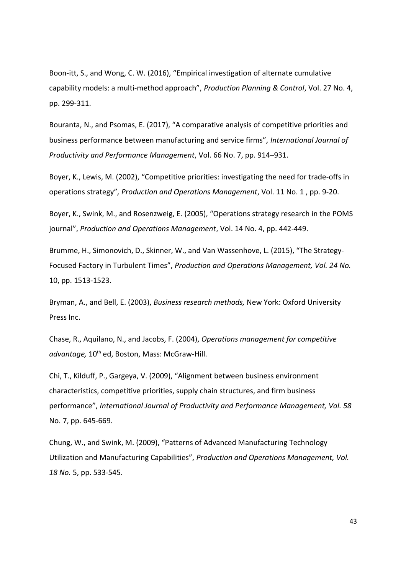Boon-itt, S., and Wong, C. W. (2016), "Empirical investigation of alternate cumulative capability models: a multi-method approach", *Production Planning & Control*, Vol. 27 No. 4, pp. 299-311.

Bouranta, N., and Psomas, E. (2017), "A comparative analysis of competitive priorities and business performance between manufacturing and service firms", *International Journal of Productivity and Performance Management*, Vol. 66 No. 7, pp. 914–931.

Boyer, K., Lewis, M. (2002), "Competitive priorities: investigating the need for trade-offs in operations strategy"*, Production and Operations Management*, Vol. 11 No. 1 , pp. 9-20.

Boyer, K., Swink, M., and Rosenzweig, E. (2005), "Operations strategy research in the POMS journal", *Production and Operations Management*, Vol. 14 No. 4, pp. 442-449.

Brumme, H., Simonovich, D., Skinner, W., and Van Wassenhove, L. (2015), "The Strategy‐ Focused Factory in Turbulent Times", *Production and Operations Management, Vol. 24 No.*  10, pp. 1513-1523.

Bryman, A., and Bell, E. (2003), *Business research methods,* New York: Oxford University Press Inc.

Chase, R., Aquilano, N., and Jacobs, F. (2004), *Operations management for competitive*  advantage, 10<sup>th</sup> ed, Boston, Mass: McGraw-Hill.

Chi, T., Kilduff, P., Gargeya, V. (2009), "Alignment between business environment characteristics, competitive priorities, supply chain structures, and firm business performance", *International Journal of Productivity and Performance Management, Vol. 58* No. 7, pp. 645-669.

Chung, W., and Swink, M. (2009), "Patterns of Advanced Manufacturing Technology Utilization and Manufacturing Capabilities", *Production and Operations Management, Vol. 18 No.* 5, pp. 533-545.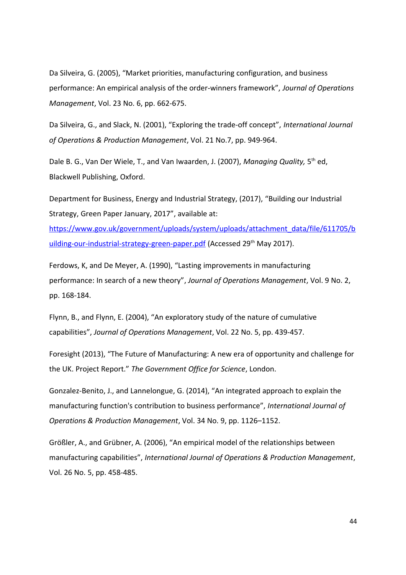Da Silveira, G. (2005), "Market priorities, manufacturing configuration, and business performance: An empirical analysis of the order-winners framework", *Journal of Operations Management*, Vol. 23 No. 6, pp. 662-675.

Da Silveira, G., and Slack, N. (2001), "Exploring the trade-off concept", *International Journal of Operations & Production Management*, Vol. 21 No.7, pp. 949-964.

Dale B. G., Van Der Wiele, T., and Van Iwaarden, J. (2007), *Managing Quality*, 5<sup>th</sup> ed, Blackwell Publishing, Oxford.

Department for Business, Energy and Industrial Strategy, (2017), "Building our Industrial Strategy, Green Paper January, 2017", available at:

[https://www.gov.uk/government/uploads/system/uploads/attachment\\_data/file/611705/b](https://www.gov.uk/government/uploads/system/uploads/attachment_data/file/611705/building-our-industrial-strategy-green-paper.pdf) [uilding-our-industrial-strategy-green-paper.pdf](https://www.gov.uk/government/uploads/system/uploads/attachment_data/file/611705/building-our-industrial-strategy-green-paper.pdf) (Accessed 29<sup>th</sup> May 2017).

Ferdows, K, and De Meyer, A. (1990), "Lasting improvements in manufacturing performance: In search of a new theory", *Journal of Operations Management*, Vol. 9 No. 2, pp. 168-184.

Flynn, B., and Flynn, E. (2004), "An exploratory study of the nature of cumulative capabilities", *Journal of Operations Management*, Vol. 22 No. 5, pp. 439-457.

Foresight (2013), "The Future of Manufacturing: A new era of opportunity and challenge for the UK. Project Report." *The Government Office for Science*, London.

Gonzalez-Benito, J., and Lannelongue, G. (2014), "An integrated approach to explain the manufacturing function's contribution to business performance", *International Journal of Operations & Production Management*, Vol. 34 No. 9, pp. 1126–1152.

Größler, A., and Grübner, A. (2006), "An empirical model of the relationships between manufacturing capabilities", *International Journal of Operations & Production Management*, Vol. 26 No. 5, pp. 458-485.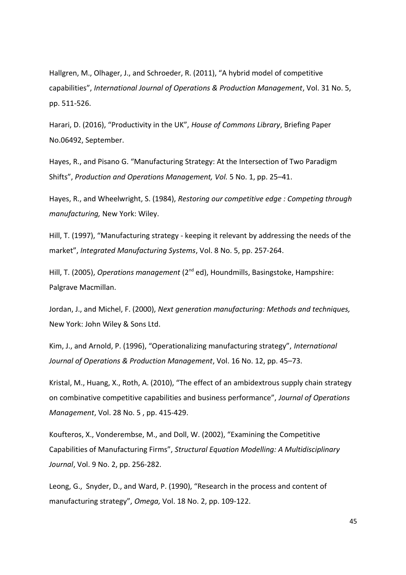Hallgren, M., Olhager, J., and Schroeder, R. (2011), "A hybrid model of competitive capabilities", *International Journal of Operations & Production Management*, Vol. 31 No. 5, pp. 511-526.

Harari, D. (2016), "Productivity in the UK", *House of Commons Library*, Briefing Paper No.06492, September.

Hayes, R., and Pisano G. "Manufacturing Strategy: At the Intersection of Two Paradigm Shifts", *Production and Operations Management, Vol.* 5 No. 1, pp. 25–41.

Hayes, R., and Wheelwright, S. (1984), *Restoring our competitive edge : Competing through manufacturing,* New York: Wiley.

Hill, T. (1997), "Manufacturing strategy - keeping it relevant by addressing the needs of the market", *Integrated Manufacturing Systems*, Vol. 8 No. 5, pp. 257-264.

Hill, T. (2005), *Operations management* (2<sup>nd</sup> ed), Houndmills, Basingstoke, Hampshire: Palgrave Macmillan.

Jordan, J., and Michel, F. (2000), *Next generation manufacturing: Methods and techniques,* New York: John Wiley & Sons Ltd.

Kim, J., and Arnold, P. (1996), "Operationalizing manufacturing strategy", *International Journal of Operations & Production Management*, Vol. 16 No. 12, pp. 45–73.

Kristal, M., Huang, X., Roth, A. (2010), "The effect of an ambidextrous supply chain strategy on combinative competitive capabilities and business performance", *Journal of Operations Management*, Vol. 28 No. 5 , pp. 415-429.

Koufteros, X., Vonderembse, M., and Doll, W. (2002), "Examining the Competitive Capabilities of Manufacturing Firms", *Structural Equation Modelling: A Multidisciplinary Journal*, Vol. 9 No. 2, pp. 256-282.

Leong, G., Snyder, D., and Ward, P. (1990), "Research in the process and content of manufacturing strategy", *Omega,* Vol. 18 No. 2, pp. 109-122.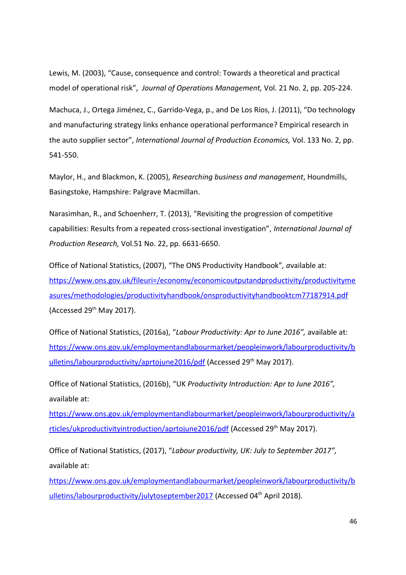Lewis, M. (2003), "Cause, consequence and control: Towards a theoretical and practical model of operational risk", *Journal of Operations Management,* Vol. 21 No. 2, pp. 205-224.

Machuca, J., Ortega Jiménez, C., Garrido-Vega, p., and De Los Ríos, J. (2011), "Do technology and manufacturing strategy links enhance operational performance? Empirical research in the auto supplier sector", *International Journal of Production Economics,* Vol. 133 No. 2, pp. 541-550.

Maylor, H., and Blackmon, K. (2005), *Researching business and management*, Houndmills, Basingstoke, Hampshire: Palgrave Macmillan.

Narasimhan, R., and Schoenherr, T. (2013), "Revisiting the progression of competitive capabilities: Results from a repeated cross-sectional investigation", *International Journal of Production Research,* Vol.51 No. 22, pp. 6631-6650.

Office of National Statistics, (2007), "The ONS Productivity Handbook"*, a*vailable at: [https://www.ons.gov.uk/fileuri=/economy/economicoutputandproductivity/productivityme](https://www.ons.gov.uk/fileuri=/economy/economicoutputandproductivity/productivitymeasures/methodologies/productivityhandbook/onsproductivityhandbooktcm77187914.pdf) [asures/methodologies/productivityhandbook/onsproductivityhandbooktcm77187914.pdf](https://www.ons.gov.uk/fileuri=/economy/economicoutputandproductivity/productivitymeasures/methodologies/productivityhandbook/onsproductivityhandbooktcm77187914.pdf) (Accessed  $29<sup>th</sup>$  May 2017).

Office of National Statistics, (2016a), "*Labour Productivity: Apr to June 2016",* available at: [https://www.ons.gov.uk/employmentandlabourmarket/peopleinwork/labourproductivity/b](https://www.ons.gov.uk/employmentandlabourmarket/peopleinwork/labourproductivity/bulletins/labourproductivity/aprtojune2016/pdf) [ulletins/labourproductivity/aprtojune2016/pdf](https://www.ons.gov.uk/employmentandlabourmarket/peopleinwork/labourproductivity/bulletins/labourproductivity/aprtojune2016/pdf) (Accessed 29<sup>th</sup> May 2017).

Office of National Statistics, (2016b), "UK *Productivity Introduction: Apr to June 2016",* available at:

[https://www.ons.gov.uk/employmentandlabourmarket/peopleinwork/labourproductivity/a](https://www.ons.gov.uk/employmentandlabourmarket/peopleinwork/labourproductivity/articles/ukproductivityintroduction/aprtojune2016/pdf) [rticles/ukproductivityintroduction/aprtojune2016/pdf](https://www.ons.gov.uk/employmentandlabourmarket/peopleinwork/labourproductivity/articles/ukproductivityintroduction/aprtojune2016/pdf) (Accessed 29<sup>th</sup> May 2017).

Office of National Statistics, (2017), "*Labour productivity, UK: July to September 2017",* available at:

https://www.ons.gov.uk/employmentandlabourmarket/peopleinwork/labourproductivity/b ulletins/labourproductivity/julytoseptember2017 (Accessed 04<sup>th</sup> April 2018).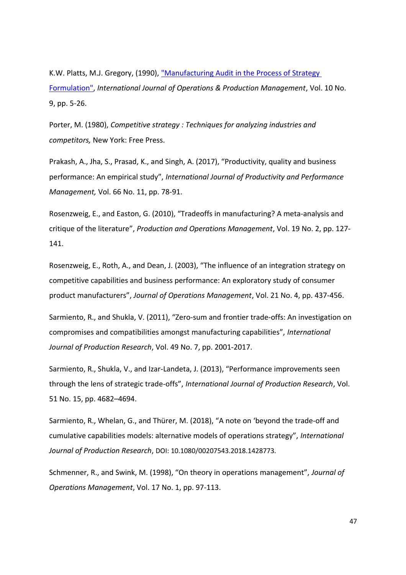K.W. Platts, M.J. Gregory, (1990), ["Manufacturing Audit in the Process of Strategy](http://www.emeraldinsight.com/doi/abs/10.1108/EUM0000000001264)  [Formulation",](http://www.emeraldinsight.com/doi/abs/10.1108/EUM0000000001264) *International Journal of Operations & Production Management*, Vol. 10 No. 9, pp. 5-26.

Porter, M. (1980), *Competitive strategy : Techniques for analyzing industries and competitors,* New York: Free Press.

Prakash, A., Jha, S., Prasad, K., and Singh, A. (2017), "Productivity, quality and business performance: An empirical study", *International Journal of Productivity and Performance Management,* Vol. 66 No. 11, pp. 78-91.

Rosenzweig, E., and Easton, G. (2010), "Tradeoffs in manufacturing? A meta‐analysis and critique of the literature", *Production and Operations Management*, Vol. 19 No. 2, pp. 127- 141.

Rosenzweig, E., Roth, A., and Dean, J. (2003), "The influence of an integration strategy on competitive capabilities and business performance: An exploratory study of consumer product manufacturers", *Journal of Operations Management*, Vol. 21 No. 4, pp. 437-456.

Sarmiento, R., and Shukla, V. (2011), "Zero-sum and frontier trade-offs: An investigation on compromises and compatibilities amongst manufacturing capabilities", *International Journal of Production Research*, Vol. 49 No. 7, pp. 2001-2017.

Sarmiento, R., Shukla, V., and Izar-Landeta, J. (2013), "Performance improvements seen through the lens of strategic trade-offs", *International Journal of Production Research*, Vol. 51 No. 15, pp. 4682–4694.

Sarmiento, R., Whelan, G., and Thürer, M. (2018), "A note on 'beyond the trade-off and cumulative capabilities models: alternative models of operations strategy", *International Journal of Production Research*, DOI: 10.1080/00207543.2018.1428773.

Schmenner, R., and Swink, M. (1998), "On theory in operations management", *Journal of Operations Management*, Vol. 17 No. 1, pp. 97-113.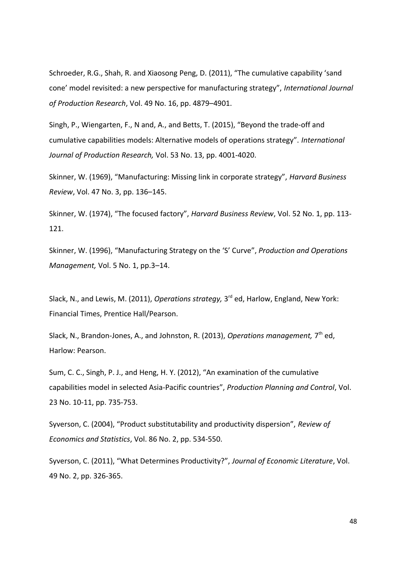Schroeder, R.G., Shah, R. and Xiaosong Peng, D. (2011), "The cumulative capability 'sand cone' model revisited: a new perspective for manufacturing strategy", *International Journal of Production Research*, Vol. 49 No. 16, pp. 4879–4901.

Singh, P., Wiengarten, F., N and, A., and Betts, T. (2015), "Beyond the trade-off and cumulative capabilities models: Alternative models of operations strategy". *International Journal of Production Research,* Vol. 53 No. 13, pp. 4001-4020.

Skinner, W. (1969), "Manufacturing: Missing link in corporate strategy", *Harvard Business Review*, Vol. 47 No. 3, pp. 136–145.

Skinner, W. (1974), "The focused factory", *Harvard Business Review*, Vol. 52 No. 1, pp. 113- 121.

Skinner, W. (1996), "Manufacturing Strategy on the 'S' Curve", *Production and Operations Management,* Vol. 5 No. 1, pp.3–14.

Slack, N., and Lewis, M. (2011), *Operations strategy,* 3<sup>rd</sup> ed, Harlow, England, New York: Financial Times, Prentice Hall/Pearson.

Slack, N., Brandon-Jones, A., and Johnston, R. (2013), *Operations management,* 7<sup>th</sup> ed, Harlow: Pearson.

Sum, C. C., Singh, P. J., and Heng, H. Y. (2012), "An examination of the cumulative capabilities model in selected Asia-Pacific countries", *Production Planning and Control*, Vol. 23 No. 10-11, pp. 735-753.

Syverson, C. (2004), "Product substitutability and productivity dispersion", *Review of Economics and Statistics*, Vol. 86 No. 2, pp. 534-550.

Syverson, C. (2011), "What Determines Productivity?", *Journal of Economic Literature*, Vol. 49 No. 2, pp. 326-365.